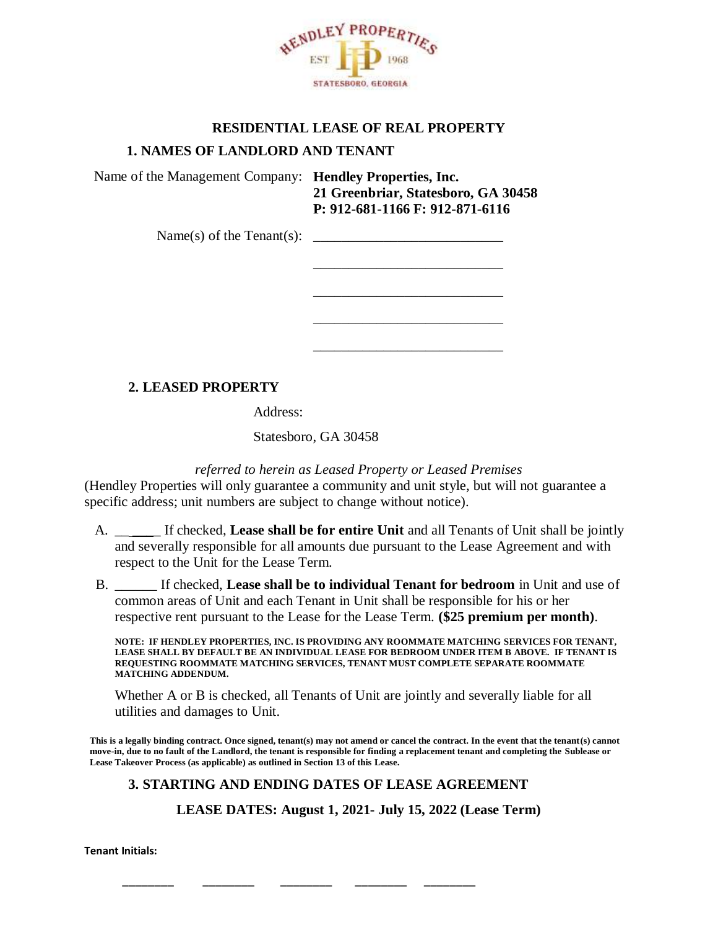

### **RESIDENTIAL LEASE OF REAL PROPERTY**

\_\_\_\_\_\_\_\_\_\_\_\_\_\_\_\_\_\_\_\_\_\_\_\_\_\_\_

\_\_\_\_\_\_\_\_\_\_\_\_\_\_\_\_\_\_\_\_\_\_\_\_\_\_\_

\_\_\_\_\_\_\_\_\_\_\_\_\_\_\_\_\_\_\_\_\_\_\_\_\_\_\_

\_\_\_\_\_\_\_\_\_\_\_\_\_\_\_\_\_\_\_\_\_\_\_\_\_\_\_

### **1. NAMES OF LANDLORD AND TENANT**

Name of the Management Company: **Hendley Properties, Inc. 21 Greenbriar, Statesboro, GA 30458 P: 912-681-1166 F: 912-871-6116**

 $Name(s)$  of the Tenant(s):  $\qquad \qquad$ 

# **2. LEASED PROPERTY**

Address:

Statesboro, GA 30458

*referred to herein as Leased Property or Leased Premises*

(Hendley Properties will only guarantee a community and unit style, but will not guarantee a specific address; unit numbers are subject to change without notice).

- A. \_\_ \_\_\_\_ If checked, **Lease shall be for entire Unit** and all Tenants of Unit shall be jointly and severally responsible for all amounts due pursuant to the Lease Agreement and with respect to the Unit for the Lease Term.
- B. \_\_\_\_\_\_ If checked, **Lease shall be to individual Tenant for bedroom** in Unit and use of common areas of Unit and each Tenant in Unit shall be responsible for his or her respective rent pursuant to the Lease for the Lease Term. **(\$25 premium per month)**.

**NOTE: IF HENDLEY PROPERTIES, INC. IS PROVIDING ANY ROOMMATE MATCHING SERVICES FOR TENANT, LEASE SHALL BY DEFAULT BE AN INDIVIDUAL LEASE FOR BEDROOM UNDER ITEM B ABOVE. IF TENANT IS REQUESTING ROOMMATE MATCHING SERVICES, TENANT MUST COMPLETE SEPARATE ROOMMATE MATCHING ADDENDUM.**

Whether A or B is checked, all Tenants of Unit are jointly and severally liable for all utilities and damages to Unit.

**This is a legally binding contract. Once signed, tenant(s) may not amend or cancel the contract. In the event that the tenant(s) cannot move-in, due to no fault of the Landlord, the tenant is responsible for finding a replacement tenant and completing the Sublease or Lease Takeover Process (as applicable) as outlined in Section 13 of this Lease.**

# **3. STARTING AND ENDING DATES OF LEASE AGREEMENT**

\_\_\_\_\_\_\_\_ \_\_\_\_\_\_\_\_ \_\_\_\_\_\_\_\_ \_\_\_\_\_\_\_\_ \_\_\_\_\_\_\_\_

**LEASE DATES: August 1, 2021- July 15, 2022 (Lease Term)**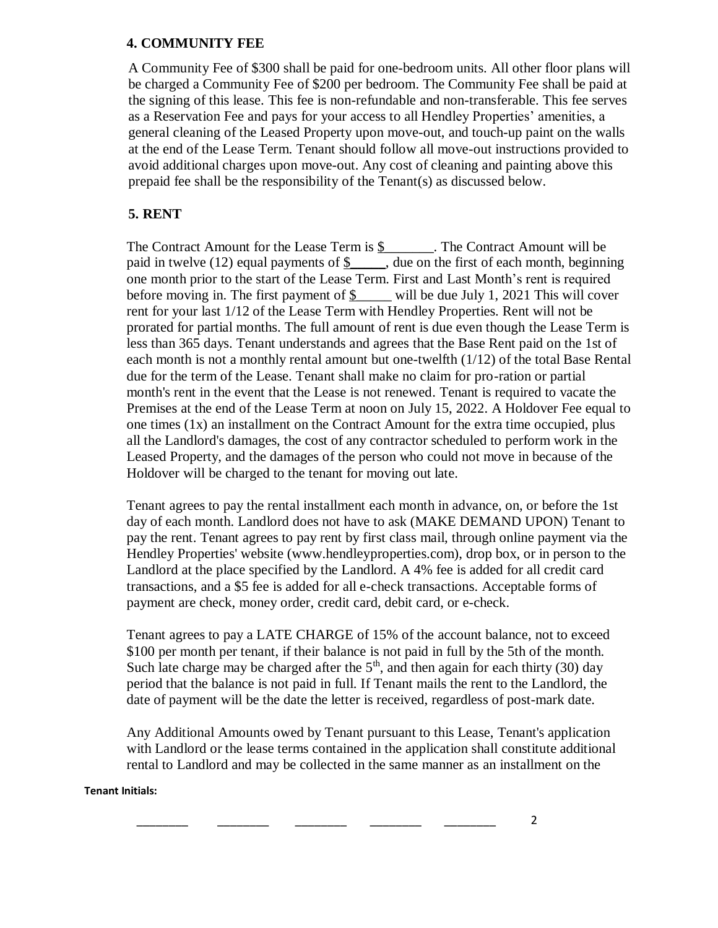#### **4. COMMUNITY FEE**

A Community Fee of \$300 shall be paid for one-bedroom units. All other floor plans will be charged a Community Fee of \$200 per bedroom. The Community Fee shall be paid at the signing of this lease. This fee is non-refundable and non-transferable. This fee serves as a Reservation Fee and pays for your access to all Hendley Properties' amenities, a general cleaning of the Leased Property upon move-out, and touch-up paint on the walls at the end of the Lease Term. Tenant should follow all move-out instructions provided to avoid additional charges upon move-out. Any cost of cleaning and painting above this prepaid fee shall be the responsibility of the Tenant(s) as discussed below.

# **5. RENT**

The Contract Amount for the Lease Term is \$ The Contract Amount will be paid in twelve (12) equal payments of  $\frac{1}{2}$ , due on the first of each month, beginning one month prior to the start of the Lease Term. First and Last Month's rent is required before moving in. The first payment of  $\frac{1}{2}$  will be due July 1, 2021 This will cover rent for your last 1/12 of the Lease Term with Hendley Properties. Rent will not be prorated for partial months. The full amount of rent is due even though the Lease Term is less than 365 days. Tenant understands and agrees that the Base Rent paid on the 1st of each month is not a monthly rental amount but one-twelfth (1/12) of the total Base Rental due for the term of the Lease. Tenant shall make no claim for pro-ration or partial month's rent in the event that the Lease is not renewed. Tenant is required to vacate the Premises at the end of the Lease Term at noon on July 15, 2022. A Holdover Fee equal to one times (1x) an installment on the Contract Amount for the extra time occupied, plus all the Landlord's damages, the cost of any contractor scheduled to perform work in the Leased Property, and the damages of the person who could not move in because of the Holdover will be charged to the tenant for moving out late.

Tenant agrees to pay the rental installment each month in advance, on, or before the 1st day of each month. Landlord does not have to ask (MAKE DEMAND UPON) Tenant to pay the rent. Tenant agrees to pay rent by first class mail, through online payment via the Hendley Properties' website (www.hendleyproperties.com), drop box, or in person to the Landlord at the place specified by the Landlord. A 4% fee is added for all credit card transactions, and a \$5 fee is added for all e-check transactions. Acceptable forms of payment are check, money order, credit card, debit card, or e-check.

Tenant agrees to pay a LATE CHARGE of 15% of the account balance, not to exceed \$100 per month per tenant, if their balance is not paid in full by the 5th of the month. Such late charge may be charged after the  $5<sup>th</sup>$ , and then again for each thirty (30) day period that the balance is not paid in full. If Tenant mails the rent to the Landlord, the date of payment will be the date the letter is received, regardless of post-mark date.

Any Additional Amounts owed by Tenant pursuant to this Lease, Tenant's application with Landlord or the lease terms contained in the application shall constitute additional rental to Landlord and may be collected in the same manner as an installment on the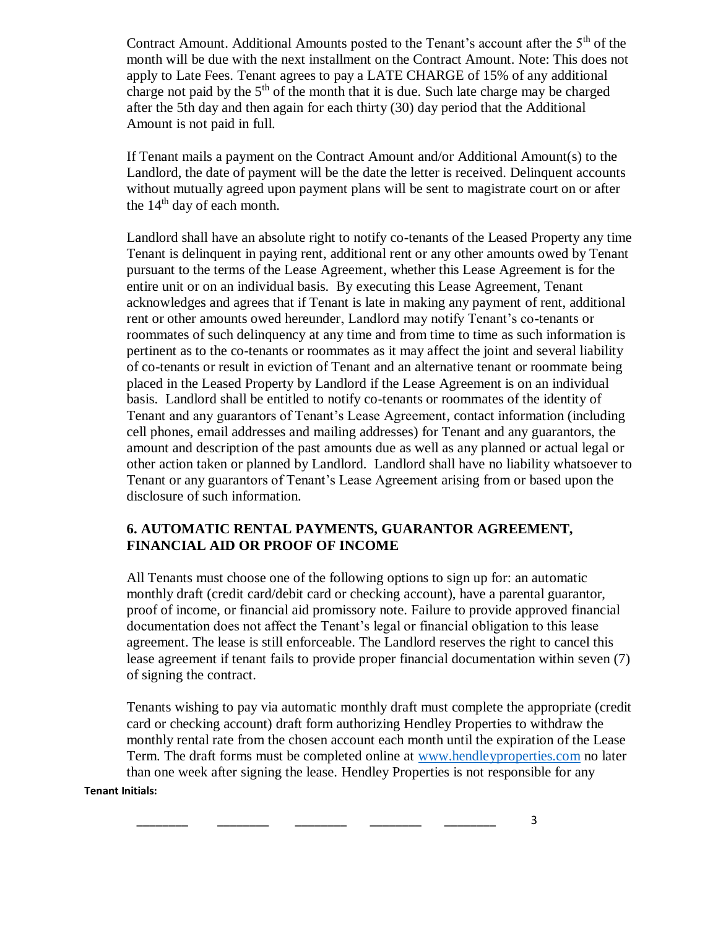Contract Amount. Additional Amounts posted to the Tenant's account after the  $5<sup>th</sup>$  of the month will be due with the next installment on the Contract Amount. Note: This does not apply to Late Fees. Tenant agrees to pay a LATE CHARGE of 15% of any additional charge not paid by the 5<sup>th</sup> of the month that it is due. Such late charge may be charged after the 5th day and then again for each thirty (30) day period that the Additional Amount is not paid in full.

If Tenant mails a payment on the Contract Amount and/or Additional Amount(s) to the Landlord, the date of payment will be the date the letter is received. Delinquent accounts without mutually agreed upon payment plans will be sent to magistrate court on or after the  $14<sup>th</sup>$  day of each month.

Landlord shall have an absolute right to notify co-tenants of the Leased Property any time Tenant is delinquent in paying rent, additional rent or any other amounts owed by Tenant pursuant to the terms of the Lease Agreement, whether this Lease Agreement is for the entire unit or on an individual basis. By executing this Lease Agreement, Tenant acknowledges and agrees that if Tenant is late in making any payment of rent, additional rent or other amounts owed hereunder, Landlord may notify Tenant's co-tenants or roommates of such delinquency at any time and from time to time as such information is pertinent as to the co-tenants or roommates as it may affect the joint and several liability of co-tenants or result in eviction of Tenant and an alternative tenant or roommate being placed in the Leased Property by Landlord if the Lease Agreement is on an individual basis. Landlord shall be entitled to notify co-tenants or roommates of the identity of Tenant and any guarantors of Tenant's Lease Agreement, contact information (including cell phones, email addresses and mailing addresses) for Tenant and any guarantors, the amount and description of the past amounts due as well as any planned or actual legal or other action taken or planned by Landlord. Landlord shall have no liability whatsoever to Tenant or any guarantors of Tenant's Lease Agreement arising from or based upon the disclosure of such information.

### **6. AUTOMATIC RENTAL PAYMENTS, GUARANTOR AGREEMENT, FINANCIAL AID OR PROOF OF INCOME**

All Tenants must choose one of the following options to sign up for: an automatic monthly draft (credit card/debit card or checking account), have a parental guarantor, proof of income, or financial aid promissory note. Failure to provide approved financial documentation does not affect the Tenant's legal or financial obligation to this lease agreement. The lease is still enforceable. The Landlord reserves the right to cancel this lease agreement if tenant fails to provide proper financial documentation within seven (7) of signing the contract.

Tenants wishing to pay via automatic monthly draft must complete the appropriate (credit card or checking account) draft form authorizing Hendley Properties to withdraw the monthly rental rate from the chosen account each month until the expiration of the Lease Term. The draft forms must be completed online at [www.hendleyproperties.com](http://www.hendleyproperties.com/) no later than one week after signing the lease. Hendley Properties is not responsible for any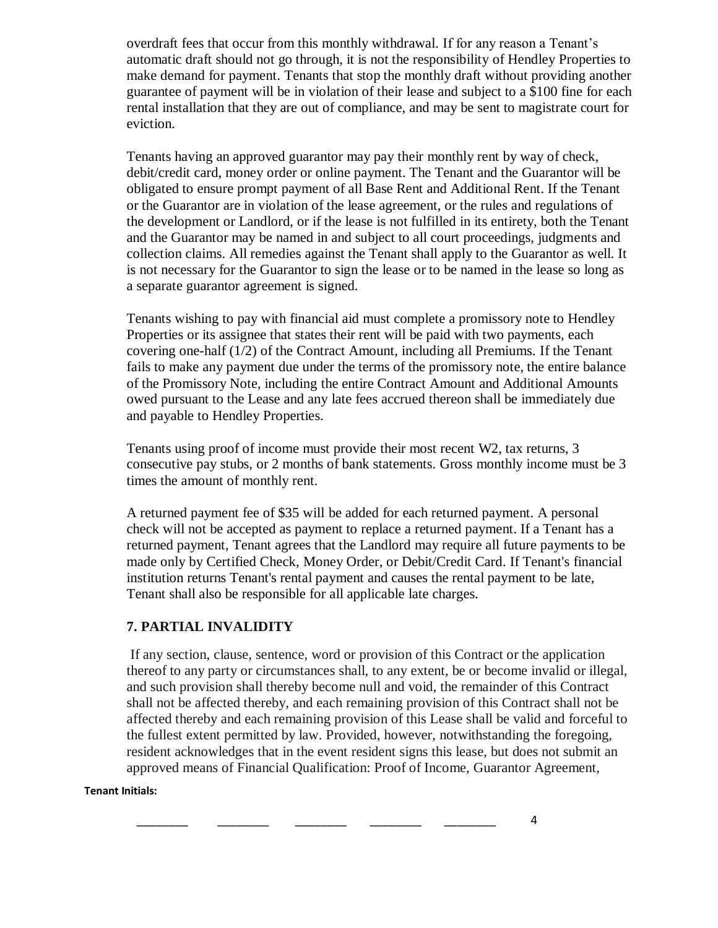overdraft fees that occur from this monthly withdrawal. If for any reason a Tenant's automatic draft should not go through, it is not the responsibility of Hendley Properties to make demand for payment. Tenants that stop the monthly draft without providing another guarantee of payment will be in violation of their lease and subject to a \$100 fine for each rental installation that they are out of compliance, and may be sent to magistrate court for eviction.

Tenants having an approved guarantor may pay their monthly rent by way of check, debit/credit card, money order or online payment. The Tenant and the Guarantor will be obligated to ensure prompt payment of all Base Rent and Additional Rent. If the Tenant or the Guarantor are in violation of the lease agreement, or the rules and regulations of the development or Landlord, or if the lease is not fulfilled in its entirety, both the Tenant and the Guarantor may be named in and subject to all court proceedings, judgments and collection claims. All remedies against the Tenant shall apply to the Guarantor as well. It is not necessary for the Guarantor to sign the lease or to be named in the lease so long as a separate guarantor agreement is signed.

Tenants wishing to pay with financial aid must complete a promissory note to Hendley Properties or its assignee that states their rent will be paid with two payments, each covering one-half (1/2) of the Contract Amount, including all Premiums. If the Tenant fails to make any payment due under the terms of the promissory note, the entire balance of the Promissory Note, including the entire Contract Amount and Additional Amounts owed pursuant to the Lease and any late fees accrued thereon shall be immediately due and payable to Hendley Properties.

Tenants using proof of income must provide their most recent W2, tax returns, 3 consecutive pay stubs, or 2 months of bank statements. Gross monthly income must be 3 times the amount of monthly rent.

A returned payment fee of \$35 will be added for each returned payment. A personal check will not be accepted as payment to replace a returned payment. If a Tenant has a returned payment, Tenant agrees that the Landlord may require all future payments to be made only by Certified Check, Money Order, or Debit/Credit Card. If Tenant's financial institution returns Tenant's rental payment and causes the rental payment to be late, Tenant shall also be responsible for all applicable late charges.

# **7. PARTIAL INVALIDITY**

If any section, clause, sentence, word or provision of this Contract or the application thereof to any party or circumstances shall, to any extent, be or become invalid or illegal, and such provision shall thereby become null and void, the remainder of this Contract shall not be affected thereby, and each remaining provision of this Contract shall not be affected thereby and each remaining provision of this Lease shall be valid and forceful to the fullest extent permitted by law. Provided, however, notwithstanding the foregoing, resident acknowledges that in the event resident signs this lease, but does not submit an approved means of Financial Qualification: Proof of Income, Guarantor Agreement,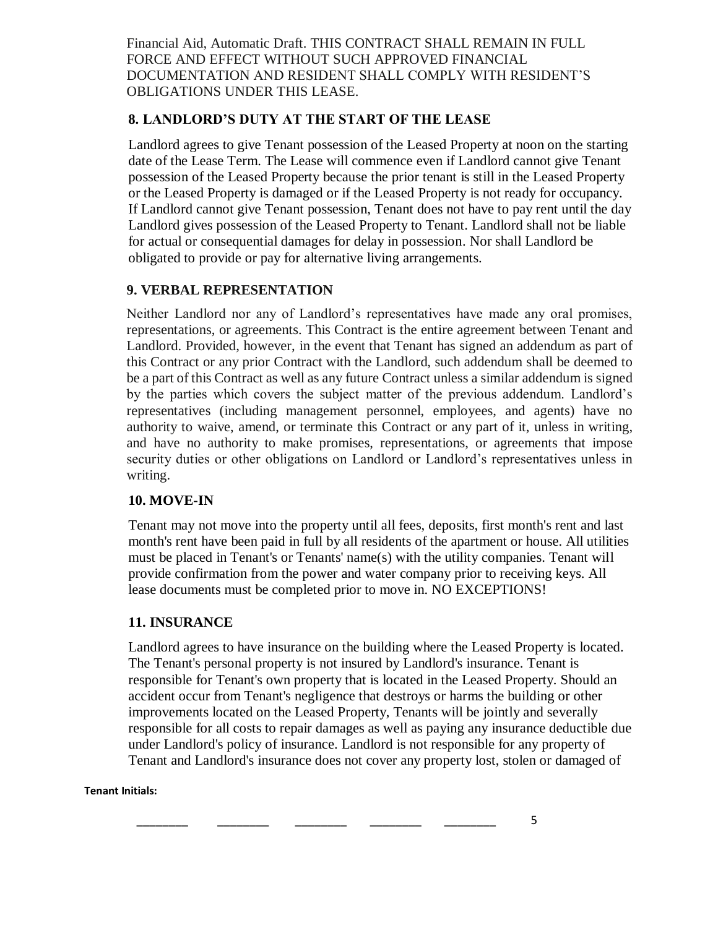Financial Aid, Automatic Draft. THIS CONTRACT SHALL REMAIN IN FULL FORCE AND EFFECT WITHOUT SUCH APPROVED FINANCIAL DOCUMENTATION AND RESIDENT SHALL COMPLY WITH RESIDENT'S OBLIGATIONS UNDER THIS LEASE.

### **8. LANDLORD'S DUTY AT THE START OF THE LEASE**

Landlord agrees to give Tenant possession of the Leased Property at noon on the starting date of the Lease Term. The Lease will commence even if Landlord cannot give Tenant possession of the Leased Property because the prior tenant is still in the Leased Property or the Leased Property is damaged or if the Leased Property is not ready for occupancy. If Landlord cannot give Tenant possession, Tenant does not have to pay rent until the day Landlord gives possession of the Leased Property to Tenant. Landlord shall not be liable for actual or consequential damages for delay in possession. Nor shall Landlord be obligated to provide or pay for alternative living arrangements.

### **9. VERBAL REPRESENTATION**

Neither Landlord nor any of Landlord's representatives have made any oral promises, representations, or agreements. This Contract is the entire agreement between Tenant and Landlord. Provided, however, in the event that Tenant has signed an addendum as part of this Contract or any prior Contract with the Landlord, such addendum shall be deemed to be a part of this Contract as well as any future Contract unless a similar addendum is signed by the parties which covers the subject matter of the previous addendum. Landlord's representatives (including management personnel, employees, and agents) have no authority to waive, amend, or terminate this Contract or any part of it, unless in writing, and have no authority to make promises, representations, or agreements that impose security duties or other obligations on Landlord or Landlord's representatives unless in writing.

#### **10. MOVE-IN**

Tenant may not move into the property until all fees, deposits, first month's rent and last month's rent have been paid in full by all residents of the apartment or house. All utilities must be placed in Tenant's or Tenants' name(s) with the utility companies. Tenant will provide confirmation from the power and water company prior to receiving keys. All lease documents must be completed prior to move in. NO EXCEPTIONS!

#### **11. INSURANCE**

Landlord agrees to have insurance on the building where the Leased Property is located. The Tenant's personal property is not insured by Landlord's insurance. Tenant is responsible for Tenant's own property that is located in the Leased Property. Should an accident occur from Tenant's negligence that destroys or harms the building or other improvements located on the Leased Property, Tenants will be jointly and severally responsible for all costs to repair damages as well as paying any insurance deductible due under Landlord's policy of insurance. Landlord is not responsible for any property of Tenant and Landlord's insurance does not cover any property lost, stolen or damaged of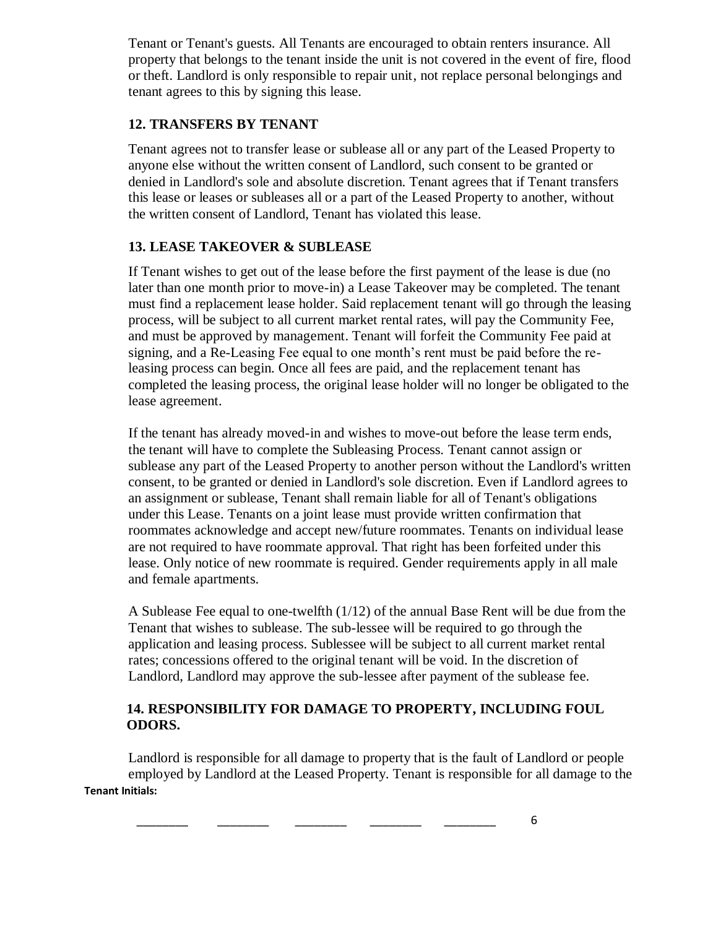Tenant or Tenant's guests. All Tenants are encouraged to obtain renters insurance. All property that belongs to the tenant inside the unit is not covered in the event of fire, flood or theft. Landlord is only responsible to repair unit, not replace personal belongings and tenant agrees to this by signing this lease.

# **12. TRANSFERS BY TENANT**

Tenant agrees not to transfer lease or sublease all or any part of the Leased Property to anyone else without the written consent of Landlord, such consent to be granted or denied in Landlord's sole and absolute discretion. Tenant agrees that if Tenant transfers this lease or leases or subleases all or a part of the Leased Property to another, without the written consent of Landlord, Tenant has violated this lease.

# **13. LEASE TAKEOVER & SUBLEASE**

If Tenant wishes to get out of the lease before the first payment of the lease is due (no later than one month prior to move-in) a Lease Takeover may be completed. The tenant must find a replacement lease holder. Said replacement tenant will go through the leasing process, will be subject to all current market rental rates, will pay the Community Fee, and must be approved by management. Tenant will forfeit the Community Fee paid at signing, and a Re-Leasing Fee equal to one month's rent must be paid before the releasing process can begin. Once all fees are paid, and the replacement tenant has completed the leasing process, the original lease holder will no longer be obligated to the lease agreement.

If the tenant has already moved-in and wishes to move-out before the lease term ends, the tenant will have to complete the Subleasing Process. Tenant cannot assign or sublease any part of the Leased Property to another person without the Landlord's written consent, to be granted or denied in Landlord's sole discretion. Even if Landlord agrees to an assignment or sublease, Tenant shall remain liable for all of Tenant's obligations under this Lease. Tenants on a joint lease must provide written confirmation that roommates acknowledge and accept new/future roommates. Tenants on individual lease are not required to have roommate approval. That right has been forfeited under this lease. Only notice of new roommate is required. Gender requirements apply in all male and female apartments.

A Sublease Fee equal to one-twelfth (1/12) of the annual Base Rent will be due from the Tenant that wishes to sublease. The sub-lessee will be required to go through the application and leasing process. Sublessee will be subject to all current market rental rates; concessions offered to the original tenant will be void. In the discretion of Landlord, Landlord may approve the sub-lessee after payment of the sublease fee.

# **14. RESPONSIBILITY FOR DAMAGE TO PROPERTY, INCLUDING FOUL ODORS.**

**Tenant Initials:**  Landlord is responsible for all damage to property that is the fault of Landlord or people employed by Landlord at the Leased Property. Tenant is responsible for all damage to the

\_\_\_\_\_\_\_\_ \_\_\_\_\_\_\_\_ \_\_\_\_\_\_\_\_ \_\_\_\_\_\_\_\_ \_\_\_\_\_\_\_\_ 6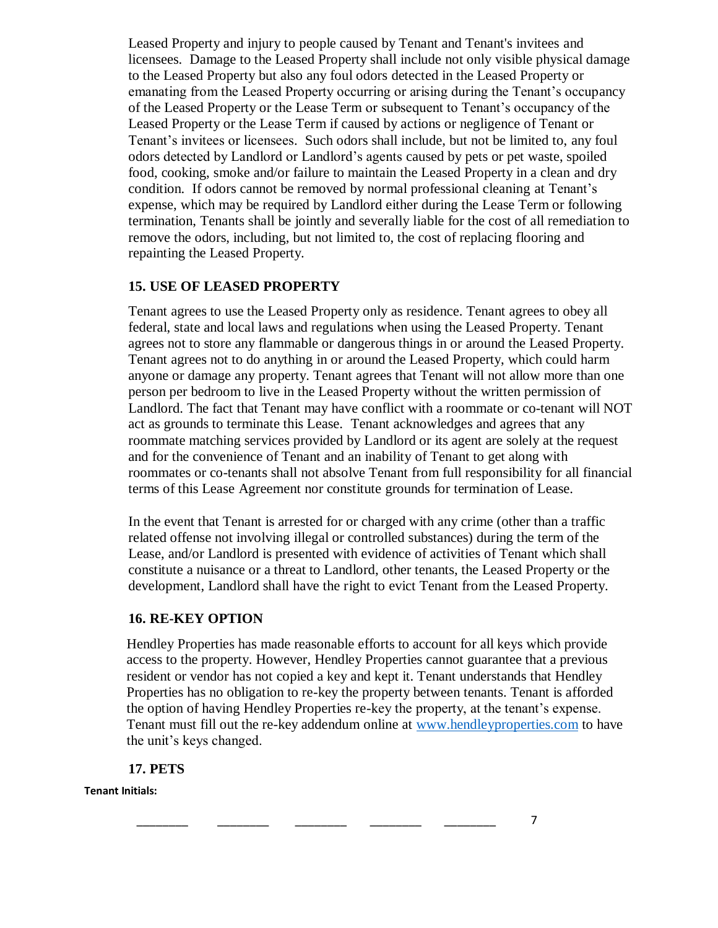Leased Property and injury to people caused by Tenant and Tenant's invitees and licensees. Damage to the Leased Property shall include not only visible physical damage to the Leased Property but also any foul odors detected in the Leased Property or emanating from the Leased Property occurring or arising during the Tenant's occupancy of the Leased Property or the Lease Term or subsequent to Tenant's occupancy of the Leased Property or the Lease Term if caused by actions or negligence of Tenant or Tenant's invitees or licensees. Such odors shall include, but not be limited to, any foul odors detected by Landlord or Landlord's agents caused by pets or pet waste, spoiled food, cooking, smoke and/or failure to maintain the Leased Property in a clean and dry condition. If odors cannot be removed by normal professional cleaning at Tenant's expense, which may be required by Landlord either during the Lease Term or following termination, Tenants shall be jointly and severally liable for the cost of all remediation to remove the odors, including, but not limited to, the cost of replacing flooring and repainting the Leased Property.

### **15. USE OF LEASED PROPERTY**

Tenant agrees to use the Leased Property only as residence. Tenant agrees to obey all federal, state and local laws and regulations when using the Leased Property. Tenant agrees not to store any flammable or dangerous things in or around the Leased Property. Tenant agrees not to do anything in or around the Leased Property, which could harm anyone or damage any property. Tenant agrees that Tenant will not allow more than one person per bedroom to live in the Leased Property without the written permission of Landlord. The fact that Tenant may have conflict with a roommate or co-tenant will NOT act as grounds to terminate this Lease. Tenant acknowledges and agrees that any roommate matching services provided by Landlord or its agent are solely at the request and for the convenience of Tenant and an inability of Tenant to get along with roommates or co-tenants shall not absolve Tenant from full responsibility for all financial terms of this Lease Agreement nor constitute grounds for termination of Lease.

In the event that Tenant is arrested for or charged with any crime (other than a traffic related offense not involving illegal or controlled substances) during the term of the Lease, and/or Landlord is presented with evidence of activities of Tenant which shall constitute a nuisance or a threat to Landlord, other tenants, the Leased Property or the development, Landlord shall have the right to evict Tenant from the Leased Property.

#### **16. RE-KEY OPTION**

Hendley Properties has made reasonable efforts to account for all keys which provide access to the property. However, Hendley Properties cannot guarantee that a previous resident or vendor has not copied a key and kept it. Tenant understands that Hendley Properties has no obligation to re-key the property between tenants. Tenant is afforded the option of having Hendley Properties re-key the property, at the tenant's expense. Tenant must fill out the re-key addendum online at [www.hendleyproperties.com](http://www.hendleyproperties.com/) to have the unit's keys changed.

# **17. PETS**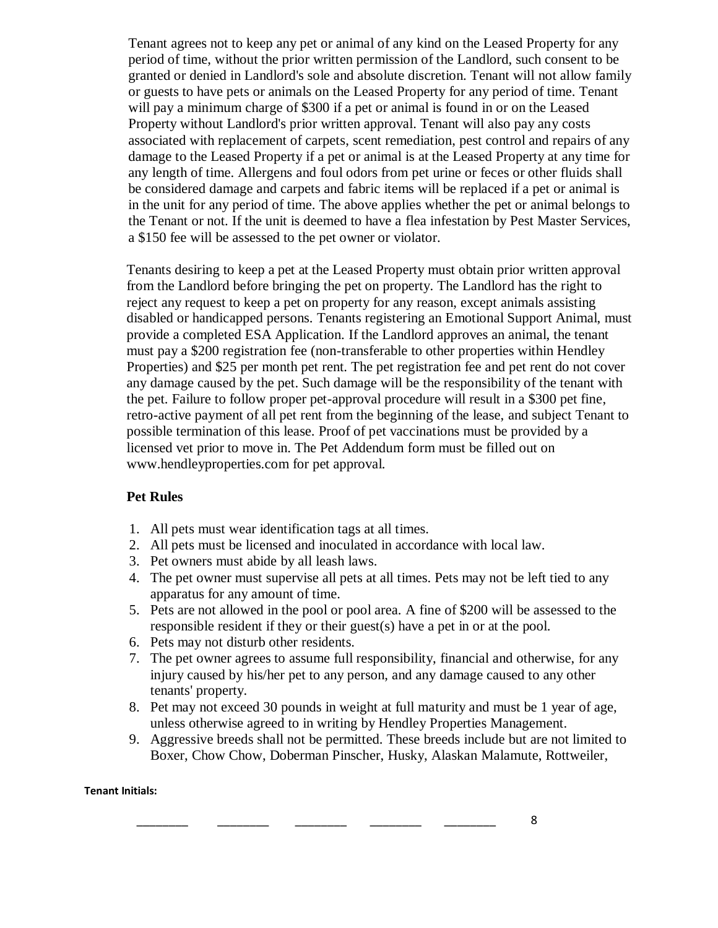Tenant agrees not to keep any pet or animal of any kind on the Leased Property for any period of time, without the prior written permission of the Landlord, such consent to be granted or denied in Landlord's sole and absolute discretion. Tenant will not allow family or guests to have pets or animals on the Leased Property for any period of time. Tenant will pay a minimum charge of \$300 if a pet or animal is found in or on the Leased Property without Landlord's prior written approval. Tenant will also pay any costs associated with replacement of carpets, scent remediation, pest control and repairs of any damage to the Leased Property if a pet or animal is at the Leased Property at any time for any length of time. Allergens and foul odors from pet urine or feces or other fluids shall be considered damage and carpets and fabric items will be replaced if a pet or animal is in the unit for any period of time. The above applies whether the pet or animal belongs to the Tenant or not. If the unit is deemed to have a flea infestation by Pest Master Services, a \$150 fee will be assessed to the pet owner or violator.

Tenants desiring to keep a pet at the Leased Property must obtain prior written approval from the Landlord before bringing the pet on property. The Landlord has the right to reject any request to keep a pet on property for any reason, except animals assisting disabled or handicapped persons. Tenants registering an Emotional Support Animal, must provide a completed ESA Application. If the Landlord approves an animal, the tenant must pay a \$200 registration fee (non-transferable to other properties within Hendley Properties) and \$25 per month pet rent. The pet registration fee and pet rent do not cover any damage caused by the pet. Such damage will be the responsibility of the tenant with the pet. Failure to follow proper pet-approval procedure will result in a \$300 pet fine, retro-active payment of all pet rent from the beginning of the lease, and subject Tenant to possible termination of this lease. Proof of pet vaccinations must be provided by a licensed vet prior to move in. The Pet Addendum form must be filled out on www.hendleyproperties.com for pet approval.

# **Pet Rules**

- 1. All pets must wear identification tags at all times.
- 2. All pets must be licensed and inoculated in accordance with local law.
- 3. Pet owners must abide by all leash laws.
- 4. The pet owner must supervise all pets at all times. Pets may not be left tied to any apparatus for any amount of time.
- 5. Pets are not allowed in the pool or pool area. A fine of \$200 will be assessed to the responsible resident if they or their guest(s) have a pet in or at the pool.
- 6. Pets may not disturb other residents.
- 7. The pet owner agrees to assume full responsibility, financial and otherwise, for any injury caused by his/her pet to any person, and any damage caused to any other tenants' property.
- 8. Pet may not exceed 30 pounds in weight at full maturity and must be 1 year of age, unless otherwise agreed to in writing by Hendley Properties Management.
- 9. Aggressive breeds shall not be permitted. These breeds include but are not limited to Boxer, Chow Chow, Doberman Pinscher, Husky, Alaskan Malamute, Rottweiler,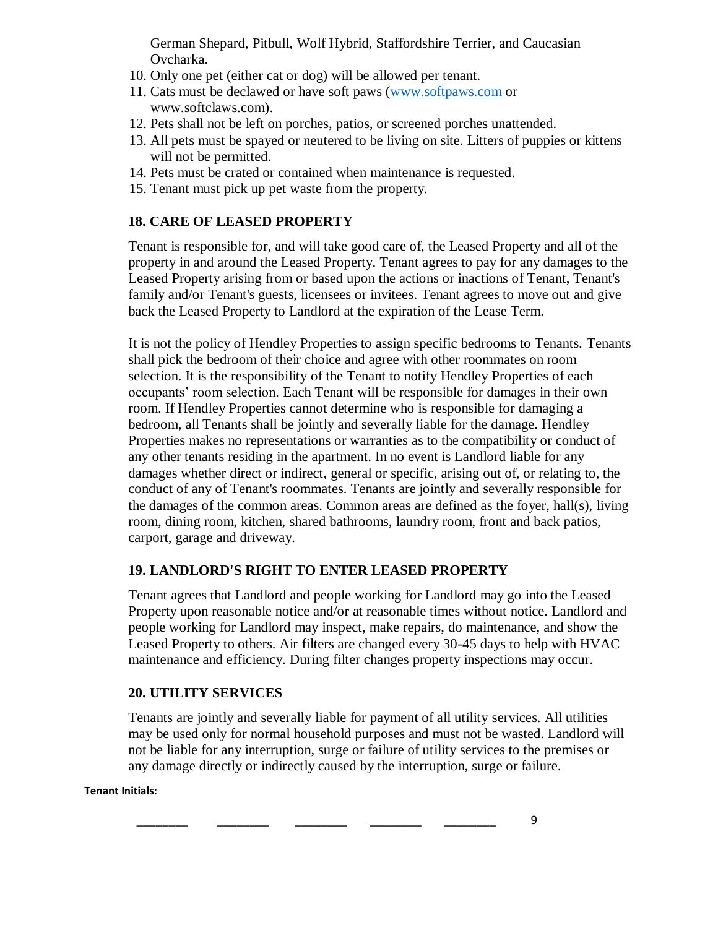German Shepard, Pitbull, Wolf Hybrid, Staffordshire Terrier, and Caucasian Ovcharka.

- 10. Only one pet (either cat or dog) will be allowed per tenant.
- 11. Cats must be declawed or have soft paws [\(www.softpaws.com](http://www.softpaws.com/) or www.softclaws.com).
- 12. Pets shall not be left on porches, patios, or screened porches unattended.
- 13. All pets must be spayed or neutered to be living on site. Litters of puppies or kittens will not be permitted.
- 14. Pets must be crated or contained when maintenance is requested.
- 15. Tenant must pick up pet waste from the property.

# **18. CARE OF LEASED PROPERTY**

Tenant is responsible for, and will take good care of, the Leased Property and all of the property in and around the Leased Property. Tenant agrees to pay for any damages to the Leased Property arising from or based upon the actions or inactions of Tenant, Tenant's family and/or Tenant's guests, licensees or invitees. Tenant agrees to move out and give back the Leased Property to Landlord at the expiration of the Lease Term.

It is not the policy of Hendley Properties to assign specific bedrooms to Tenants. Tenants shall pick the bedroom of their choice and agree with other roommates on room selection. It is the responsibility of the Tenant to notify Hendley Properties of each occupants' room selection. Each Tenant will be responsible for damages in their own room. If Hendley Properties cannot determine who is responsible for damaging a bedroom, all Tenants shall be jointly and severally liable for the damage. Hendley Properties makes no representations or warranties as to the compatibility or conduct of any other tenants residing in the apartment. In no event is Landlord liable for any damages whether direct or indirect, general or specific, arising out of, or relating to, the conduct of any of Tenant's roommates. Tenants are jointly and severally responsible for the damages of the common areas. Common areas are defined as the foyer, hall(s), living room, dining room, kitchen, shared bathrooms, laundry room, front and back patios, carport, garage and driveway.

# **19. LANDLORD'S RIGHT TO ENTER LEASED PROPERTY**

Tenant agrees that Landlord and people working for Landlord may go into the Leased Property upon reasonable notice and/or at reasonable times without notice. Landlord and people working for Landlord may inspect, make repairs, do maintenance, and show the Leased Property to others. Air filters are changed every 30-45 days to help with HVAC maintenance and efficiency. During filter changes property inspections may occur.

# **20. UTILITY SERVICES**

Tenants are jointly and severally liable for payment of all utility services. All utilities may be used only for normal household purposes and must not be wasted. Landlord will not be liable for any interruption, surge or failure of utility services to the premises or any damage directly or indirectly caused by the interruption, surge or failure.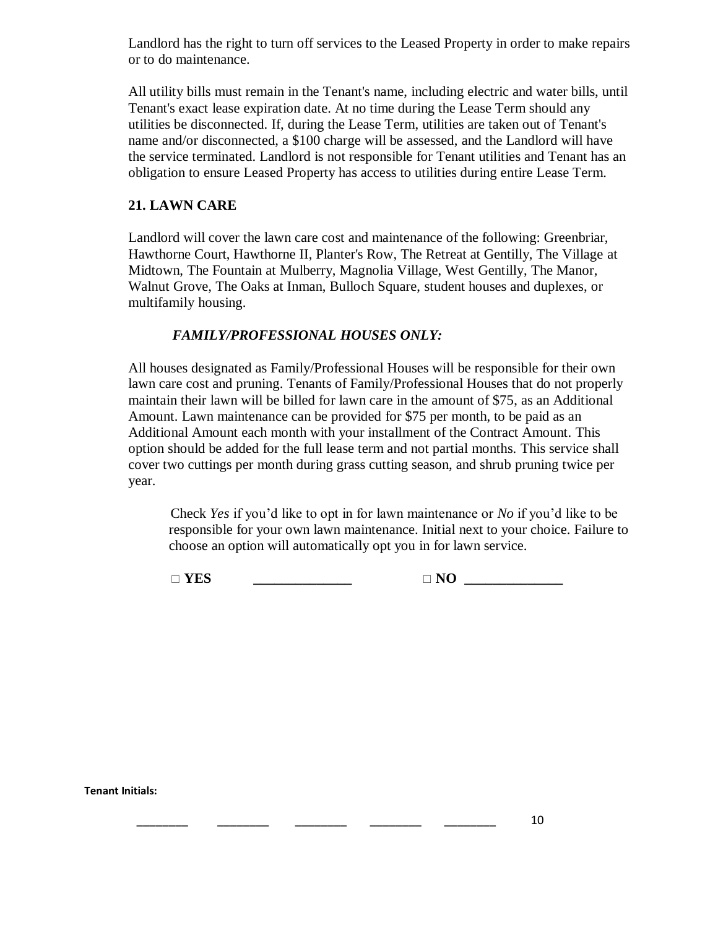Landlord has the right to turn off services to the Leased Property in order to make repairs or to do maintenance.

All utility bills must remain in the Tenant's name, including electric and water bills, until Tenant's exact lease expiration date. At no time during the Lease Term should any utilities be disconnected. If, during the Lease Term, utilities are taken out of Tenant's name and/or disconnected, a \$100 charge will be assessed, and the Landlord will have the service terminated. Landlord is not responsible for Tenant utilities and Tenant has an obligation to ensure Leased Property has access to utilities during entire Lease Term.

# **21. LAWN CARE**

Landlord will cover the lawn care cost and maintenance of the following: Greenbriar, Hawthorne Court, Hawthorne II, Planter's Row, The Retreat at Gentilly, The Village at Midtown, The Fountain at Mulberry, Magnolia Village, West Gentilly, The Manor, Walnut Grove, The Oaks at Inman, Bulloch Square, student houses and duplexes, or multifamily housing.

# *FAMILY/PROFESSIONAL HOUSES ONLY:*

All houses designated as Family/Professional Houses will be responsible for their own lawn care cost and pruning. Tenants of Family/Professional Houses that do not properly maintain their lawn will be billed for lawn care in the amount of \$75, as an Additional Amount. Lawn maintenance can be provided for \$75 per month, to be paid as an Additional Amount each month with your installment of the Contract Amount. This option should be added for the full lease term and not partial months. This service shall cover two cuttings per month during grass cutting season, and shrub pruning twice per year.

Check *Yes* if you'd like to opt in for lawn maintenance or *No* if you'd like to be responsible for your own lawn maintenance. Initial next to your choice. Failure to choose an option will automatically opt you in for lawn service.

 $\Box$  **YES**  $\Box$  **NO**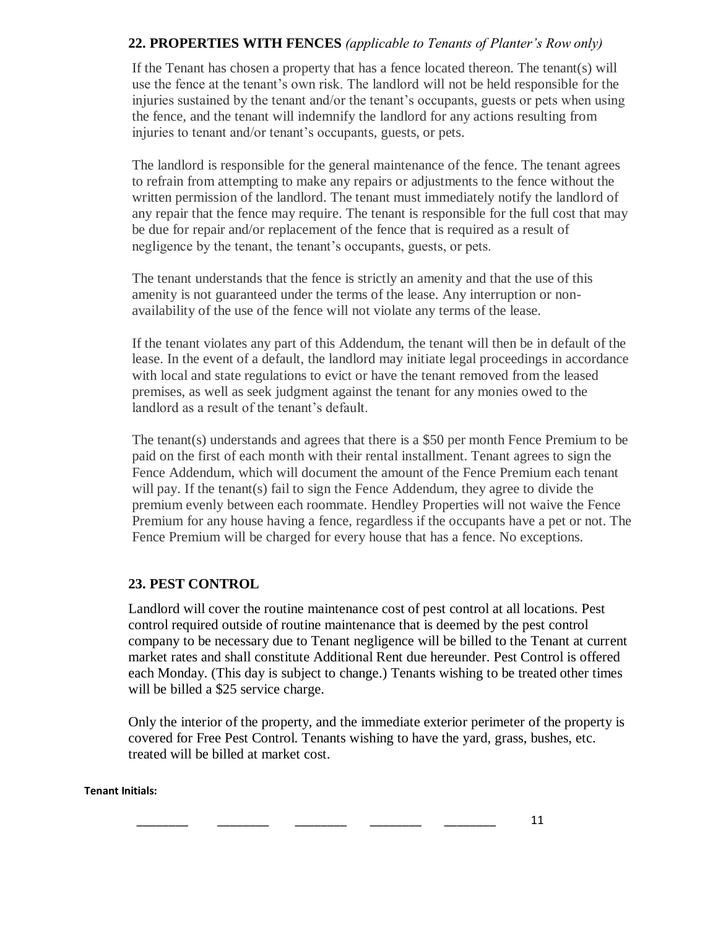# **22. PROPERTIES WITH FENCES** *(applicable to Tenants of Planter's Row only)*

If the Tenant has chosen a property that has a fence located thereon. The tenant(s) will use the fence at the tenant's own risk. The landlord will not be held responsible for the injuries sustained by the tenant and/or the tenant's occupants, guests or pets when using the fence, and the tenant will indemnify the landlord for any actions resulting from injuries to tenant and/or tenant's occupants, guests, or pets.

The landlord is responsible for the general maintenance of the fence. The tenant agrees to refrain from attempting to make any repairs or adjustments to the fence without the written permission of the landlord. The tenant must immediately notify the landlord of any repair that the fence may require. The tenant is responsible for the full cost that may be due for repair and/or replacement of the fence that is required as a result of negligence by the tenant, the tenant's occupants, guests, or pets.

The tenant understands that the fence is strictly an amenity and that the use of this amenity is not guaranteed under the terms of the lease. Any interruption or nonavailability of the use of the fence will not violate any terms of the lease.

If the tenant violates any part of this Addendum, the tenant will then be in default of the lease. In the event of a default, the landlord may initiate legal proceedings in accordance with local and state regulations to evict or have the tenant removed from the leased premises, as well as seek judgment against the tenant for any monies owed to the landlord as a result of the tenant's default.

The tenant(s) understands and agrees that there is a \$50 per month Fence Premium to be paid on the first of each month with their rental installment. Tenant agrees to sign the Fence Addendum, which will document the amount of the Fence Premium each tenant will pay. If the tenant(s) fail to sign the Fence Addendum, they agree to divide the premium evenly between each roommate. Hendley Properties will not waive the Fence Premium for any house having a fence, regardless if the occupants have a pet or not. The Fence Premium will be charged for every house that has a fence. No exceptions.

# **23. PEST CONTROL**

Landlord will cover the routine maintenance cost of pest control at all locations. Pest control required outside of routine maintenance that is deemed by the pest control company to be necessary due to Tenant negligence will be billed to the Tenant at current market rates and shall constitute Additional Rent due hereunder. Pest Control is offered each Monday. (This day is subject to change.) Tenants wishing to be treated other times will be billed a \$25 service charge.

Only the interior of the property, and the immediate exterior perimeter of the property is covered for Free Pest Control. Tenants wishing to have the yard, grass, bushes, etc. treated will be billed at market cost.

#### **Tenant Initials:**

\_\_\_\_\_\_\_\_ \_\_\_\_\_\_\_\_ \_\_\_\_\_\_\_\_ \_\_\_\_\_\_\_\_ \_\_\_\_\_\_\_\_ 11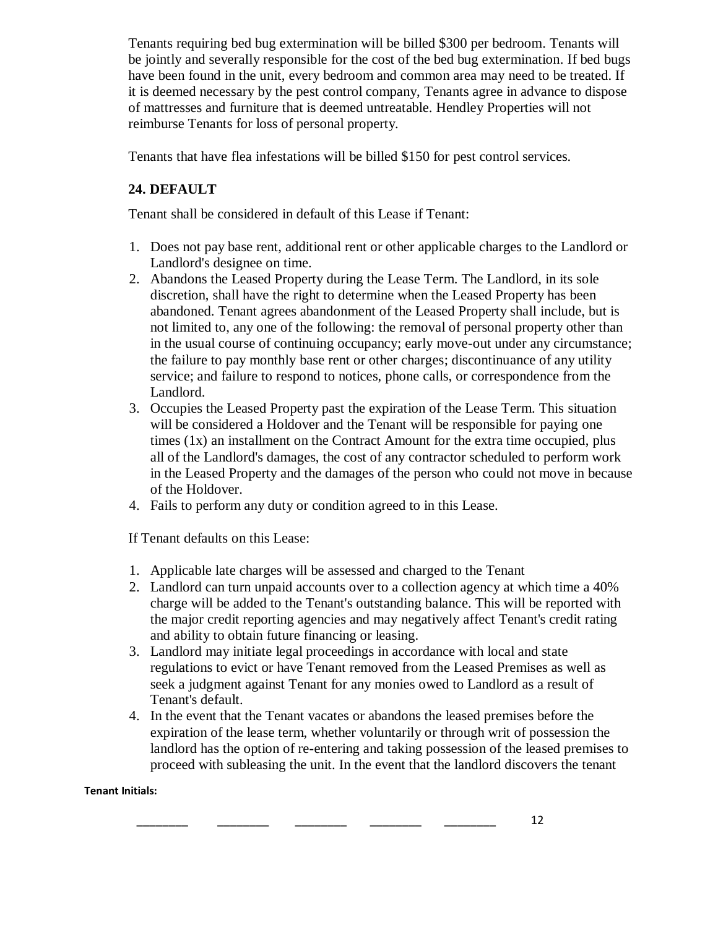Tenants requiring bed bug extermination will be billed \$300 per bedroom. Tenants will be jointly and severally responsible for the cost of the bed bug extermination. If bed bugs have been found in the unit, every bedroom and common area may need to be treated. If it is deemed necessary by the pest control company, Tenants agree in advance to dispose of mattresses and furniture that is deemed untreatable. Hendley Properties will not reimburse Tenants for loss of personal property.

Tenants that have flea infestations will be billed \$150 for pest control services.

# **24. DEFAULT**

Tenant shall be considered in default of this Lease if Tenant:

- 1. Does not pay base rent, additional rent or other applicable charges to the Landlord or Landlord's designee on time.
- 2. Abandons the Leased Property during the Lease Term. The Landlord, in its sole discretion, shall have the right to determine when the Leased Property has been abandoned. Tenant agrees abandonment of the Leased Property shall include, but is not limited to, any one of the following: the removal of personal property other than in the usual course of continuing occupancy; early move-out under any circumstance; the failure to pay monthly base rent or other charges; discontinuance of any utility service; and failure to respond to notices, phone calls, or correspondence from the Landlord.
- 3. Occupies the Leased Property past the expiration of the Lease Term. This situation will be considered a Holdover and the Tenant will be responsible for paying one times (1x) an installment on the Contract Amount for the extra time occupied, plus all of the Landlord's damages, the cost of any contractor scheduled to perform work in the Leased Property and the damages of the person who could not move in because of the Holdover.
- 4. Fails to perform any duty or condition agreed to in this Lease.

If Tenant defaults on this Lease:

- 1. Applicable late charges will be assessed and charged to the Tenant
- 2. Landlord can turn unpaid accounts over to a collection agency at which time a 40% charge will be added to the Tenant's outstanding balance. This will be reported with the major credit reporting agencies and may negatively affect Tenant's credit rating and ability to obtain future financing or leasing.
- 3. Landlord may initiate legal proceedings in accordance with local and state regulations to evict or have Tenant removed from the Leased Premises as well as seek a judgment against Tenant for any monies owed to Landlord as a result of Tenant's default.
- 4. In the event that the Tenant vacates or abandons the leased premises before the expiration of the lease term, whether voluntarily or through writ of possession the landlord has the option of re-entering and taking possession of the leased premises to proceed with subleasing the unit. In the event that the landlord discovers the tenant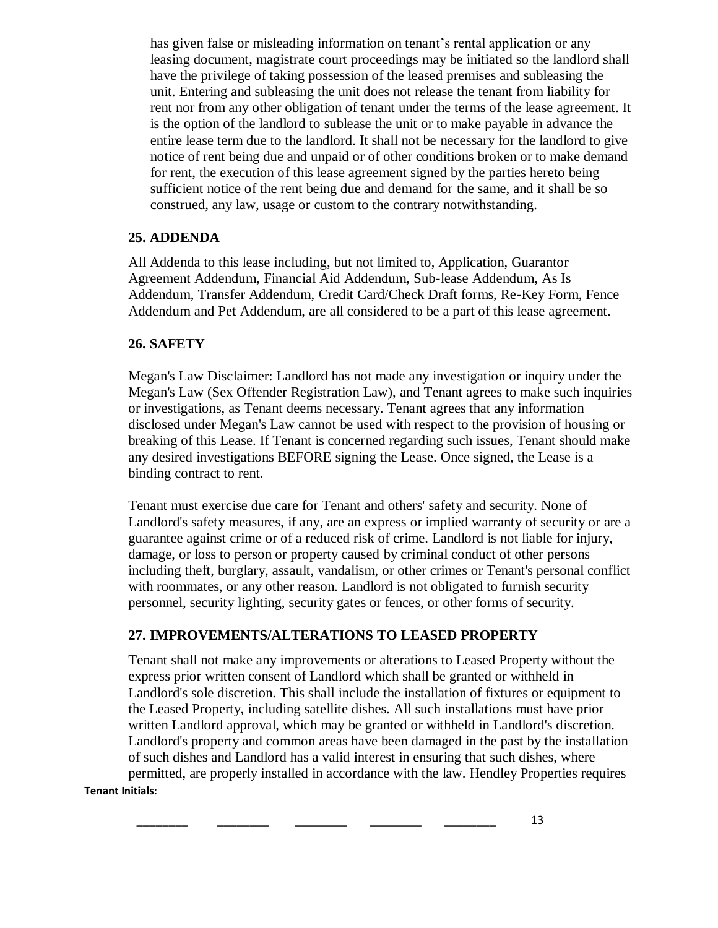has given false or misleading information on tenant's rental application or any leasing document, magistrate court proceedings may be initiated so the landlord shall have the privilege of taking possession of the leased premises and subleasing the unit. Entering and subleasing the unit does not release the tenant from liability for rent nor from any other obligation of tenant under the terms of the lease agreement. It is the option of the landlord to sublease the unit or to make payable in advance the entire lease term due to the landlord. It shall not be necessary for the landlord to give notice of rent being due and unpaid or of other conditions broken or to make demand for rent, the execution of this lease agreement signed by the parties hereto being sufficient notice of the rent being due and demand for the same, and it shall be so construed, any law, usage or custom to the contrary notwithstanding.

### **25. ADDENDA**

All Addenda to this lease including, but not limited to, Application, Guarantor Agreement Addendum, Financial Aid Addendum, Sub-lease Addendum, As Is Addendum, Transfer Addendum, Credit Card/Check Draft forms, Re-Key Form, Fence Addendum and Pet Addendum, are all considered to be a part of this lease agreement.

### **26. SAFETY**

Megan's Law Disclaimer: Landlord has not made any investigation or inquiry under the Megan's Law (Sex Offender Registration Law), and Tenant agrees to make such inquiries or investigations, as Tenant deems necessary. Tenant agrees that any information disclosed under Megan's Law cannot be used with respect to the provision of housing or breaking of this Lease. If Tenant is concerned regarding such issues, Tenant should make any desired investigations BEFORE signing the Lease. Once signed, the Lease is a binding contract to rent.

Tenant must exercise due care for Tenant and others' safety and security. None of Landlord's safety measures, if any, are an express or implied warranty of security or are a guarantee against crime or of a reduced risk of crime. Landlord is not liable for injury, damage, or loss to person or property caused by criminal conduct of other persons including theft, burglary, assault, vandalism, or other crimes or Tenant's personal conflict with roommates, or any other reason. Landlord is not obligated to furnish security personnel, security lighting, security gates or fences, or other forms of security.

# **27. IMPROVEMENTS/ALTERATIONS TO LEASED PROPERTY**

**Tenant Initials:**  Tenant shall not make any improvements or alterations to Leased Property without the express prior written consent of Landlord which shall be granted or withheld in Landlord's sole discretion. This shall include the installation of fixtures or equipment to the Leased Property, including satellite dishes. All such installations must have prior written Landlord approval, which may be granted or withheld in Landlord's discretion. Landlord's property and common areas have been damaged in the past by the installation of such dishes and Landlord has a valid interest in ensuring that such dishes, where permitted, are properly installed in accordance with the law. Hendley Properties requires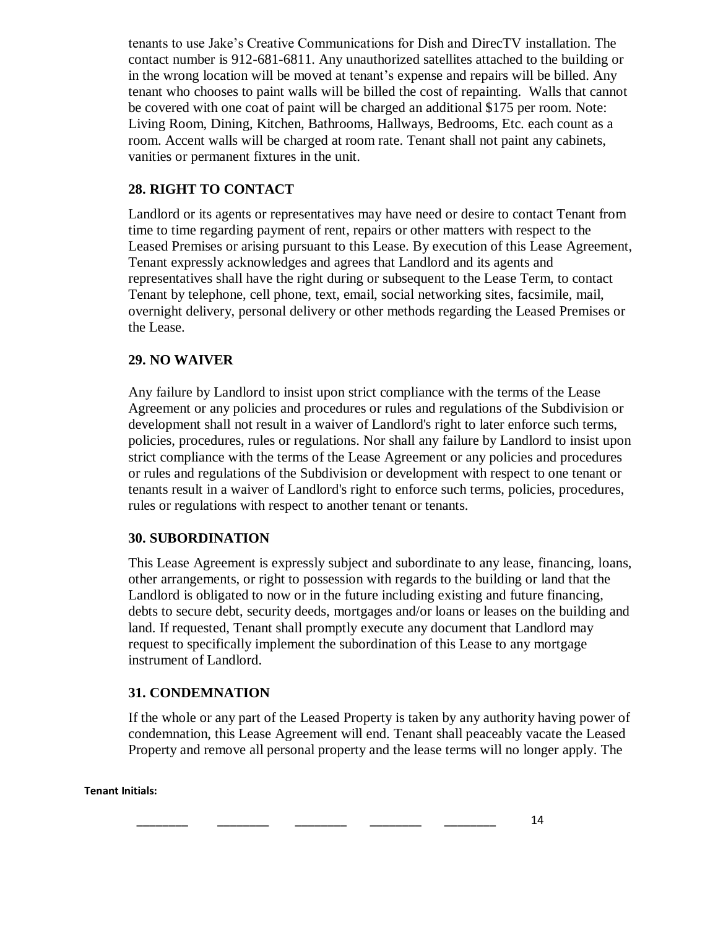tenants to use Jake's Creative Communications for Dish and DirecTV installation. The contact number is 912-681-6811. Any unauthorized satellites attached to the building or in the wrong location will be moved at tenant's expense and repairs will be billed. Any tenant who chooses to paint walls will be billed the cost of repainting. Walls that cannot be covered with one coat of paint will be charged an additional \$175 per room. Note: Living Room, Dining, Kitchen, Bathrooms, Hallways, Bedrooms, Etc. each count as a room. Accent walls will be charged at room rate. Tenant shall not paint any cabinets, vanities or permanent fixtures in the unit.

# **28. RIGHT TO CONTACT**

Landlord or its agents or representatives may have need or desire to contact Tenant from time to time regarding payment of rent, repairs or other matters with respect to the Leased Premises or arising pursuant to this Lease. By execution of this Lease Agreement, Tenant expressly acknowledges and agrees that Landlord and its agents and representatives shall have the right during or subsequent to the Lease Term, to contact Tenant by telephone, cell phone, text, email, social networking sites, facsimile, mail, overnight delivery, personal delivery or other methods regarding the Leased Premises or the Lease.

# **29. NO WAIVER**

Any failure by Landlord to insist upon strict compliance with the terms of the Lease Agreement or any policies and procedures or rules and regulations of the Subdivision or development shall not result in a waiver of Landlord's right to later enforce such terms, policies, procedures, rules or regulations. Nor shall any failure by Landlord to insist upon strict compliance with the terms of the Lease Agreement or any policies and procedures or rules and regulations of the Subdivision or development with respect to one tenant or tenants result in a waiver of Landlord's right to enforce such terms, policies, procedures, rules or regulations with respect to another tenant or tenants.

# **30. SUBORDINATION**

This Lease Agreement is expressly subject and subordinate to any lease, financing, loans, other arrangements, or right to possession with regards to the building or land that the Landlord is obligated to now or in the future including existing and future financing, debts to secure debt, security deeds, mortgages and/or loans or leases on the building and land. If requested, Tenant shall promptly execute any document that Landlord may request to specifically implement the subordination of this Lease to any mortgage instrument of Landlord.

# **31. CONDEMNATION**

If the whole or any part of the Leased Property is taken by any authority having power of condemnation, this Lease Agreement will end. Tenant shall peaceably vacate the Leased Property and remove all personal property and the lease terms will no longer apply. The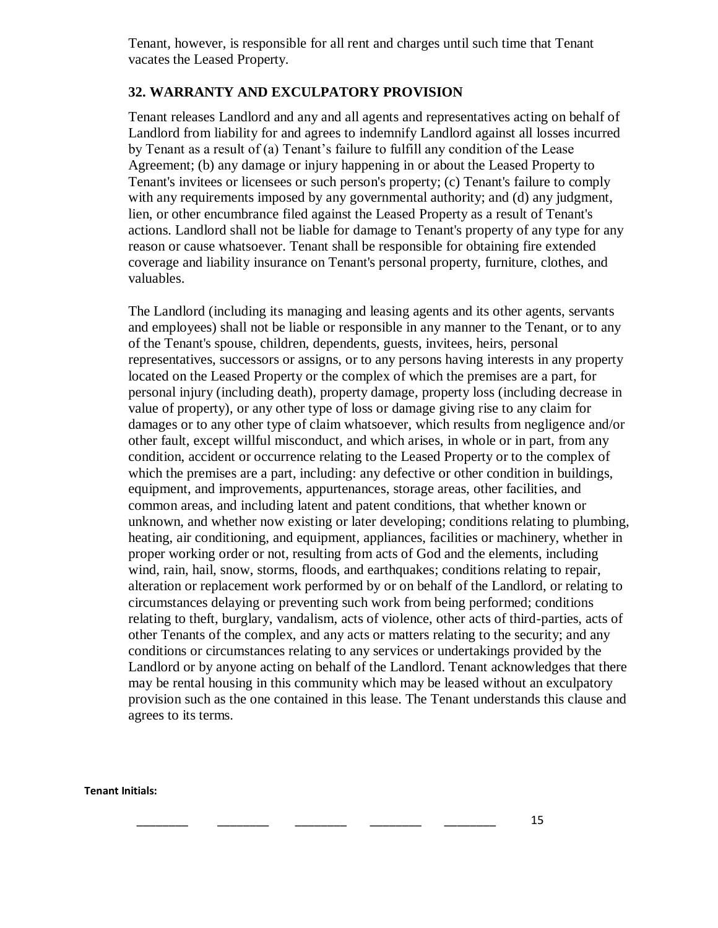Tenant, however, is responsible for all rent and charges until such time that Tenant vacates the Leased Property.

# **32. WARRANTY AND EXCULPATORY PROVISION**

Tenant releases Landlord and any and all agents and representatives acting on behalf of Landlord from liability for and agrees to indemnify Landlord against all losses incurred by Tenant as a result of (a) Tenant's failure to fulfill any condition of the Lease Agreement; (b) any damage or injury happening in or about the Leased Property to Tenant's invitees or licensees or such person's property; (c) Tenant's failure to comply with any requirements imposed by any governmental authority; and (d) any judgment, lien, or other encumbrance filed against the Leased Property as a result of Tenant's actions. Landlord shall not be liable for damage to Tenant's property of any type for any reason or cause whatsoever. Tenant shall be responsible for obtaining fire extended coverage and liability insurance on Tenant's personal property, furniture, clothes, and valuables.

The Landlord (including its managing and leasing agents and its other agents, servants and employees) shall not be liable or responsible in any manner to the Tenant, or to any of the Tenant's spouse, children, dependents, guests, invitees, heirs, personal representatives, successors or assigns, or to any persons having interests in any property located on the Leased Property or the complex of which the premises are a part, for personal injury (including death), property damage, property loss (including decrease in value of property), or any other type of loss or damage giving rise to any claim for damages or to any other type of claim whatsoever, which results from negligence and/or other fault, except willful misconduct, and which arises, in whole or in part, from any condition, accident or occurrence relating to the Leased Property or to the complex of which the premises are a part, including: any defective or other condition in buildings, equipment, and improvements, appurtenances, storage areas, other facilities, and common areas, and including latent and patent conditions, that whether known or unknown, and whether now existing or later developing; conditions relating to plumbing, heating, air conditioning, and equipment, appliances, facilities or machinery, whether in proper working order or not, resulting from acts of God and the elements, including wind, rain, hail, snow, storms, floods, and earthquakes; conditions relating to repair, alteration or replacement work performed by or on behalf of the Landlord, or relating to circumstances delaying or preventing such work from being performed; conditions relating to theft, burglary, vandalism, acts of violence, other acts of third-parties, acts of other Tenants of the complex, and any acts or matters relating to the security; and any conditions or circumstances relating to any services or undertakings provided by the Landlord or by anyone acting on behalf of the Landlord. Tenant acknowledges that there may be rental housing in this community which may be leased without an exculpatory provision such as the one contained in this lease. The Tenant understands this clause and agrees to its terms.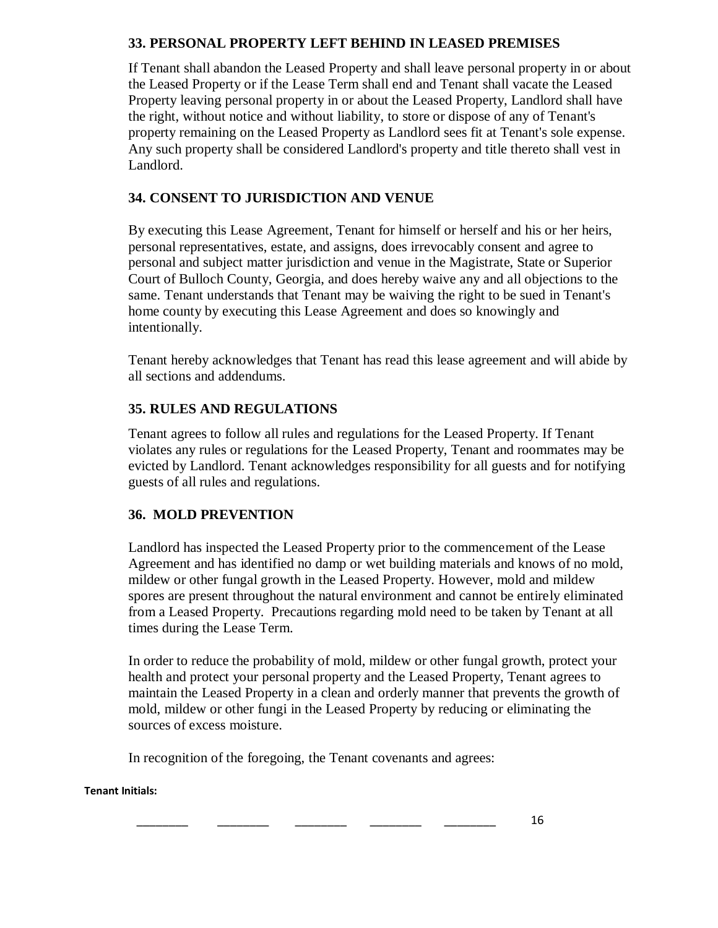# **33. PERSONAL PROPERTY LEFT BEHIND IN LEASED PREMISES**

If Tenant shall abandon the Leased Property and shall leave personal property in or about the Leased Property or if the Lease Term shall end and Tenant shall vacate the Leased Property leaving personal property in or about the Leased Property, Landlord shall have the right, without notice and without liability, to store or dispose of any of Tenant's property remaining on the Leased Property as Landlord sees fit at Tenant's sole expense. Any such property shall be considered Landlord's property and title thereto shall vest in Landlord.

# **34. CONSENT TO JURISDICTION AND VENUE**

By executing this Lease Agreement, Tenant for himself or herself and his or her heirs, personal representatives, estate, and assigns, does irrevocably consent and agree to personal and subject matter jurisdiction and venue in the Magistrate, State or Superior Court of Bulloch County, Georgia, and does hereby waive any and all objections to the same. Tenant understands that Tenant may be waiving the right to be sued in Tenant's home county by executing this Lease Agreement and does so knowingly and intentionally.

Tenant hereby acknowledges that Tenant has read this lease agreement and will abide by all sections and addendums.

# **35. RULES AND REGULATIONS**

Tenant agrees to follow all rules and regulations for the Leased Property. If Tenant violates any rules or regulations for the Leased Property, Tenant and roommates may be evicted by Landlord. Tenant acknowledges responsibility for all guests and for notifying guests of all rules and regulations.

# **36. MOLD PREVENTION**

Landlord has inspected the Leased Property prior to the commencement of the Lease Agreement and has identified no damp or wet building materials and knows of no mold, mildew or other fungal growth in the Leased Property. However, mold and mildew spores are present throughout the natural environment and cannot be entirely eliminated from a Leased Property. Precautions regarding mold need to be taken by Tenant at all times during the Lease Term.

In order to reduce the probability of mold, mildew or other fungal growth, protect your health and protect your personal property and the Leased Property, Tenant agrees to maintain the Leased Property in a clean and orderly manner that prevents the growth of mold, mildew or other fungi in the Leased Property by reducing or eliminating the sources of excess moisture.

In recognition of the foregoing, the Tenant covenants and agrees: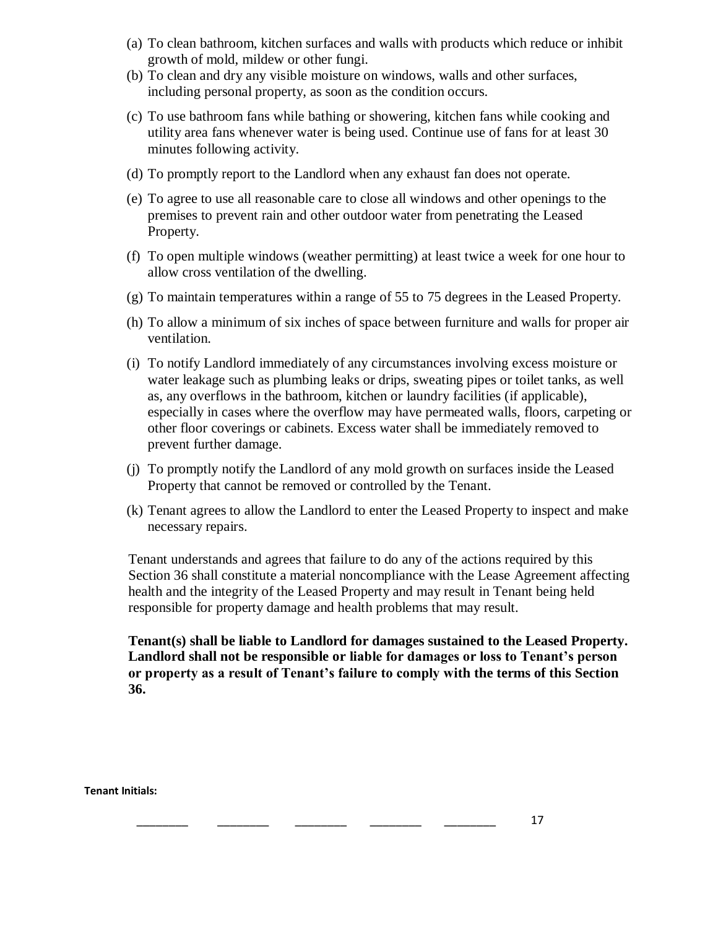- (a) To clean bathroom, kitchen surfaces and walls with products which reduce or inhibit growth of mold, mildew or other fungi.
- (b) To clean and dry any visible moisture on windows, walls and other surfaces, including personal property, as soon as the condition occurs.
- (c) To use bathroom fans while bathing or showering, kitchen fans while cooking and utility area fans whenever water is being used. Continue use of fans for at least 30 minutes following activity.
- (d) To promptly report to the Landlord when any exhaust fan does not operate.
- (e) To agree to use all reasonable care to close all windows and other openings to the premises to prevent rain and other outdoor water from penetrating the Leased Property.
- (f) To open multiple windows (weather permitting) at least twice a week for one hour to allow cross ventilation of the dwelling.
- (g) To maintain temperatures within a range of 55 to 75 degrees in the Leased Property.
- (h) To allow a minimum of six inches of space between furniture and walls for proper air ventilation.
- (i) To notify Landlord immediately of any circumstances involving excess moisture or water leakage such as plumbing leaks or drips, sweating pipes or toilet tanks, as well as, any overflows in the bathroom, kitchen or laundry facilities (if applicable), especially in cases where the overflow may have permeated walls, floors, carpeting or other floor coverings or cabinets. Excess water shall be immediately removed to prevent further damage.
- (j) To promptly notify the Landlord of any mold growth on surfaces inside the Leased Property that cannot be removed or controlled by the Tenant.
- (k) Tenant agrees to allow the Landlord to enter the Leased Property to inspect and make necessary repairs.

Tenant understands and agrees that failure to do any of the actions required by this Section 36 shall constitute a material noncompliance with the Lease Agreement affecting health and the integrity of the Leased Property and may result in Tenant being held responsible for property damage and health problems that may result.

**Tenant(s) shall be liable to Landlord for damages sustained to the Leased Property. Landlord shall not be responsible or liable for damages or loss to Tenant's person or property as a result of Tenant's failure to comply with the terms of this Section 36.**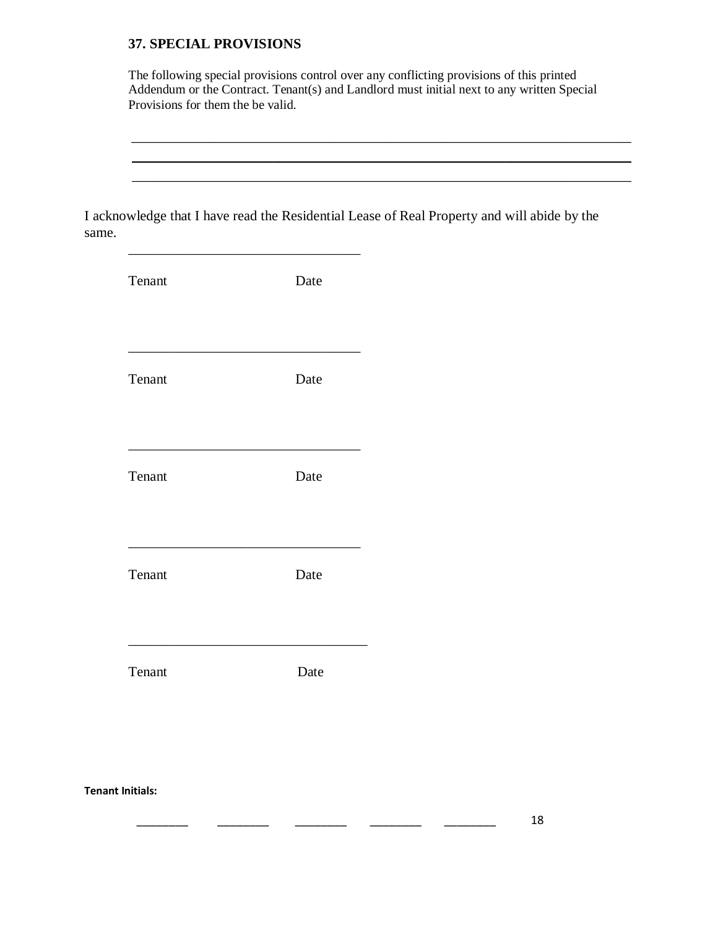#### **37. SPECIAL PROVISIONS**

The following special provisions control over any conflicting provisions of this printed Addendum or the Contract. Tenant(s) and Landlord must initial next to any written Special Provisions for them the be valid.

 $\_$  , and the contract of the contract of the contract of the contract of the contract of the contract of the contract of the contract of the contract of the contract of the contract of the contract of the contract of the

I acknowledge that I have read the Residential Lease of Real Property and will abide by the same.

| Tenant | Date |
|--------|------|
| Tenant | Date |
| Tenant | Date |
| Tenant | Date |
| Tenant | Date |
|        |      |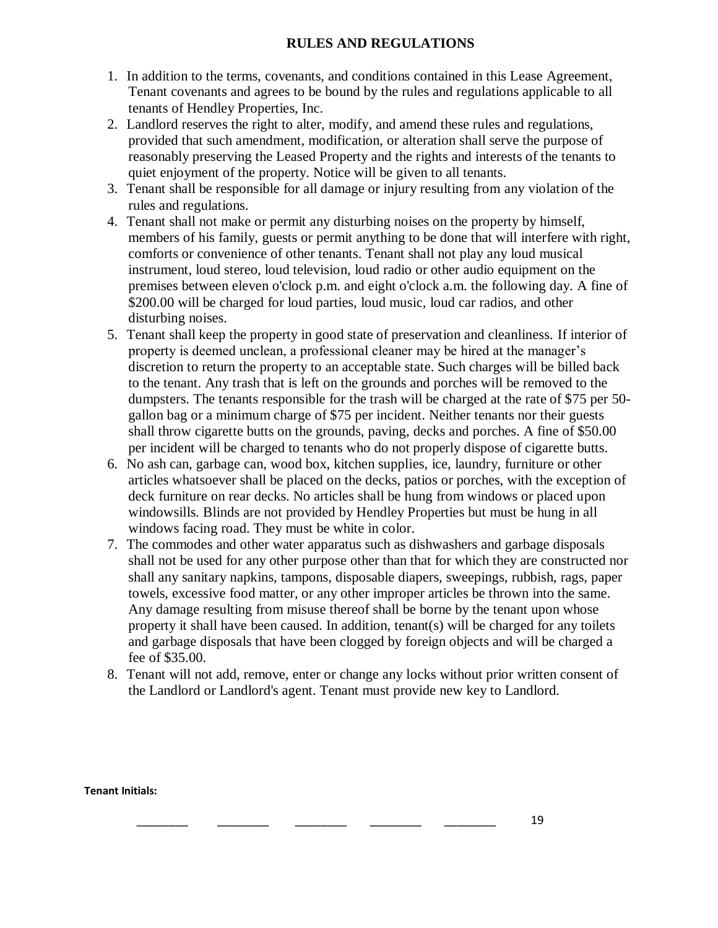### **RULES AND REGULATIONS**

- 1. In addition to the terms, covenants, and conditions contained in this Lease Agreement, Tenant covenants and agrees to be bound by the rules and regulations applicable to all tenants of Hendley Properties, Inc.
- 2. Landlord reserves the right to alter, modify, and amend these rules and regulations, provided that such amendment, modification, or alteration shall serve the purpose of reasonably preserving the Leased Property and the rights and interests of the tenants to quiet enjoyment of the property. Notice will be given to all tenants.
- 3. Tenant shall be responsible for all damage or injury resulting from any violation of the rules and regulations.
- 4. Tenant shall not make or permit any disturbing noises on the property by himself, members of his family, guests or permit anything to be done that will interfere with right, comforts or convenience of other tenants. Tenant shall not play any loud musical instrument, loud stereo, loud television, loud radio or other audio equipment on the premises between eleven o'clock p.m. and eight o'clock a.m. the following day. A fine of \$200.00 will be charged for loud parties, loud music, loud car radios, and other disturbing noises.
- 5. Tenant shall keep the property in good state of preservation and cleanliness. If interior of property is deemed unclean, a professional cleaner may be hired at the manager's discretion to return the property to an acceptable state. Such charges will be billed back to the tenant. Any trash that is left on the grounds and porches will be removed to the dumpsters. The tenants responsible for the trash will be charged at the rate of \$75 per 50 gallon bag or a minimum charge of \$75 per incident. Neither tenants nor their guests shall throw cigarette butts on the grounds, paving, decks and porches. A fine of \$50.00 per incident will be charged to tenants who do not properly dispose of cigarette butts.
- 6. No ash can, garbage can, wood box, kitchen supplies, ice, laundry, furniture or other articles whatsoever shall be placed on the decks, patios or porches, with the exception of deck furniture on rear decks. No articles shall be hung from windows or placed upon windowsills. Blinds are not provided by Hendley Properties but must be hung in all windows facing road. They must be white in color.
- 7. The commodes and other water apparatus such as dishwashers and garbage disposals shall not be used for any other purpose other than that for which they are constructed nor shall any sanitary napkins, tampons, disposable diapers, sweepings, rubbish, rags, paper towels, excessive food matter, or any other improper articles be thrown into the same. Any damage resulting from misuse thereof shall be borne by the tenant upon whose property it shall have been caused. In addition, tenant(s) will be charged for any toilets and garbage disposals that have been clogged by foreign objects and will be charged a fee of \$35.00.
- 8. Tenant will not add, remove, enter or change any locks without prior written consent of the Landlord or Landlord's agent. Tenant must provide new key to Landlord.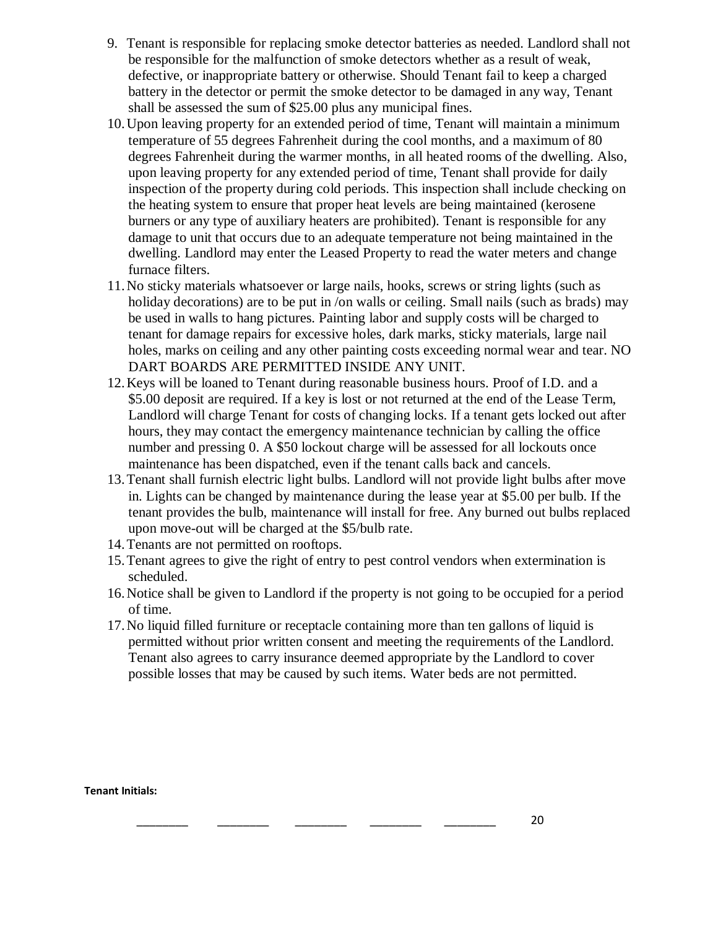- 9. Tenant is responsible for replacing smoke detector batteries as needed. Landlord shall not be responsible for the malfunction of smoke detectors whether as a result of weak, defective, or inappropriate battery or otherwise. Should Tenant fail to keep a charged battery in the detector or permit the smoke detector to be damaged in any way, Tenant shall be assessed the sum of \$25.00 plus any municipal fines.
- 10.Upon leaving property for an extended period of time, Tenant will maintain a minimum temperature of 55 degrees Fahrenheit during the cool months, and a maximum of 80 degrees Fahrenheit during the warmer months, in all heated rooms of the dwelling. Also, upon leaving property for any extended period of time, Tenant shall provide for daily inspection of the property during cold periods. This inspection shall include checking on the heating system to ensure that proper heat levels are being maintained (kerosene burners or any type of auxiliary heaters are prohibited). Tenant is responsible for any damage to unit that occurs due to an adequate temperature not being maintained in the dwelling. Landlord may enter the Leased Property to read the water meters and change furnace filters.
- 11.No sticky materials whatsoever or large nails, hooks, screws or string lights (such as holiday decorations) are to be put in /on walls or ceiling. Small nails (such as brads) may be used in walls to hang pictures. Painting labor and supply costs will be charged to tenant for damage repairs for excessive holes, dark marks, sticky materials, large nail holes, marks on ceiling and any other painting costs exceeding normal wear and tear. NO DART BOARDS ARE PERMITTED INSIDE ANY UNIT.
- 12.Keys will be loaned to Tenant during reasonable business hours. Proof of I.D. and a \$5.00 deposit are required. If a key is lost or not returned at the end of the Lease Term, Landlord will charge Tenant for costs of changing locks. If a tenant gets locked out after hours, they may contact the emergency maintenance technician by calling the office number and pressing 0. A \$50 lockout charge will be assessed for all lockouts once maintenance has been dispatched, even if the tenant calls back and cancels.
- 13.Tenant shall furnish electric light bulbs. Landlord will not provide light bulbs after move in. Lights can be changed by maintenance during the lease year at \$5.00 per bulb. If the tenant provides the bulb, maintenance will install for free. Any burned out bulbs replaced upon move-out will be charged at the \$5/bulb rate.
- 14.Tenants are not permitted on rooftops.
- 15.Tenant agrees to give the right of entry to pest control vendors when extermination is scheduled.
- 16.Notice shall be given to Landlord if the property is not going to be occupied for a period of time.
- 17.No liquid filled furniture or receptacle containing more than ten gallons of liquid is permitted without prior written consent and meeting the requirements of the Landlord. Tenant also agrees to carry insurance deemed appropriate by the Landlord to cover possible losses that may be caused by such items. Water beds are not permitted.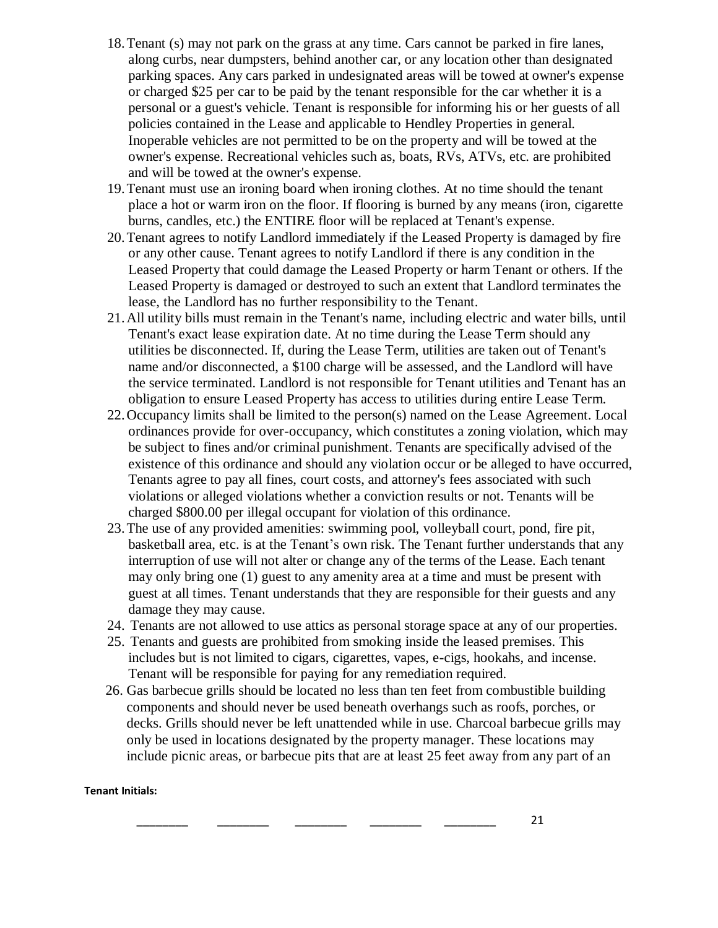- 18.Tenant (s) may not park on the grass at any time. Cars cannot be parked in fire lanes, along curbs, near dumpsters, behind another car, or any location other than designated parking spaces. Any cars parked in undesignated areas will be towed at owner's expense or charged \$25 per car to be paid by the tenant responsible for the car whether it is a personal or a guest's vehicle. Tenant is responsible for informing his or her guests of all policies contained in the Lease and applicable to Hendley Properties in general. Inoperable vehicles are not permitted to be on the property and will be towed at the owner's expense. Recreational vehicles such as, boats, RVs, ATVs, etc. are prohibited and will be towed at the owner's expense.
- 19.Tenant must use an ironing board when ironing clothes. At no time should the tenant place a hot or warm iron on the floor. If flooring is burned by any means (iron, cigarette burns, candles, etc.) the ENTIRE floor will be replaced at Tenant's expense.
- 20.Tenant agrees to notify Landlord immediately if the Leased Property is damaged by fire or any other cause. Tenant agrees to notify Landlord if there is any condition in the Leased Property that could damage the Leased Property or harm Tenant or others. If the Leased Property is damaged or destroyed to such an extent that Landlord terminates the lease, the Landlord has no further responsibility to the Tenant.
- 21.All utility bills must remain in the Tenant's name, including electric and water bills, until Tenant's exact lease expiration date. At no time during the Lease Term should any utilities be disconnected. If, during the Lease Term, utilities are taken out of Tenant's name and/or disconnected, a \$100 charge will be assessed, and the Landlord will have the service terminated. Landlord is not responsible for Tenant utilities and Tenant has an obligation to ensure Leased Property has access to utilities during entire Lease Term.
- 22.Occupancy limits shall be limited to the person(s) named on the Lease Agreement. Local ordinances provide for over-occupancy, which constitutes a zoning violation, which may be subject to fines and/or criminal punishment. Tenants are specifically advised of the existence of this ordinance and should any violation occur or be alleged to have occurred, Tenants agree to pay all fines, court costs, and attorney's fees associated with such violations or alleged violations whether a conviction results or not. Tenants will be charged \$800.00 per illegal occupant for violation of this ordinance.
- 23.The use of any provided amenities: swimming pool, volleyball court, pond, fire pit, basketball area, etc. is at the Tenant's own risk. The Tenant further understands that any interruption of use will not alter or change any of the terms of the Lease. Each tenant may only bring one (1) guest to any amenity area at a time and must be present with guest at all times. Tenant understands that they are responsible for their guests and any damage they may cause.
- 24. Tenants are not allowed to use attics as personal storage space at any of our properties.
- 25. Tenants and guests are prohibited from smoking inside the leased premises. This includes but is not limited to cigars, cigarettes, vapes, e-cigs, hookahs, and incense. Tenant will be responsible for paying for any remediation required.
- 26. Gas barbecue grills should be located no less than ten feet from combustible building components and should never be used beneath overhangs such as roofs, porches, or decks. Grills should never be left unattended while in use. Charcoal barbecue grills may only be used in locations designated by the property manager. These locations may include picnic areas, or barbecue pits that are at least 25 feet away from any part of an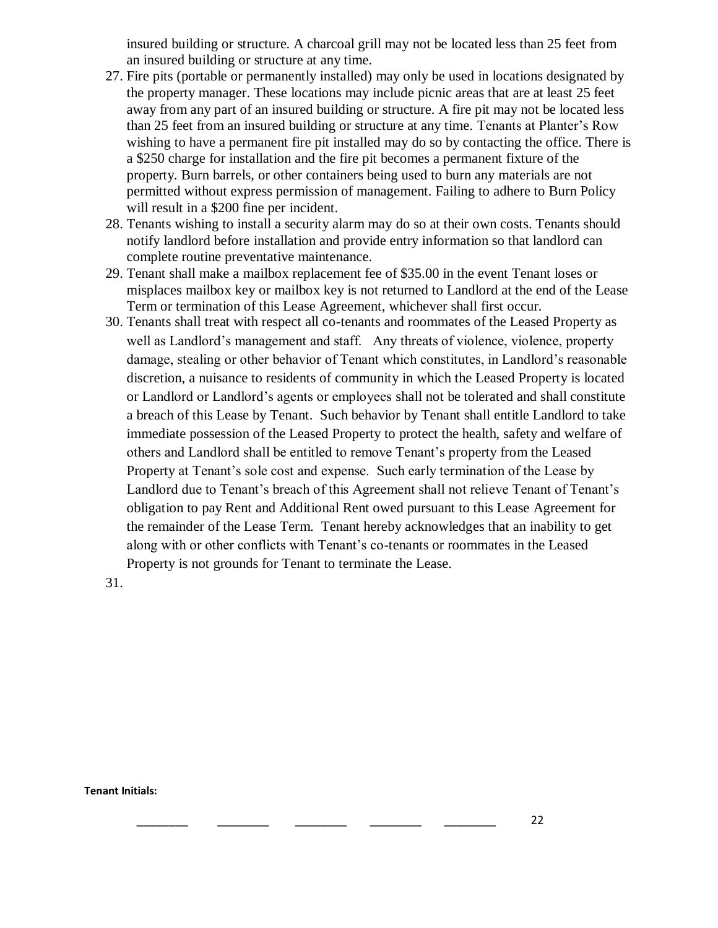insured building or structure. A charcoal grill may not be located less than 25 feet from an insured building or structure at any time.

- 27. Fire pits (portable or permanently installed) may only be used in locations designated by the property manager. These locations may include picnic areas that are at least 25 feet away from any part of an insured building or structure. A fire pit may not be located less than 25 feet from an insured building or structure at any time. Tenants at Planter's Row wishing to have a permanent fire pit installed may do so by contacting the office. There is a \$250 charge for installation and the fire pit becomes a permanent fixture of the property. Burn barrels, or other containers being used to burn any materials are not permitted without express permission of management. Failing to adhere to Burn Policy will result in a \$200 fine per incident.
- 28. Tenants wishing to install a security alarm may do so at their own costs. Tenants should notify landlord before installation and provide entry information so that landlord can complete routine preventative maintenance.
- 29. Tenant shall make a mailbox replacement fee of \$35.00 in the event Tenant loses or misplaces mailbox key or mailbox key is not returned to Landlord at the end of the Lease Term or termination of this Lease Agreement, whichever shall first occur.
- 30. Tenants shall treat with respect all co-tenants and roommates of the Leased Property as well as Landlord's management and staff. Any threats of violence, violence, property damage, stealing or other behavior of Tenant which constitutes, in Landlord's reasonable discretion, a nuisance to residents of community in which the Leased Property is located or Landlord or Landlord's agents or employees shall not be tolerated and shall constitute a breach of this Lease by Tenant. Such behavior by Tenant shall entitle Landlord to take immediate possession of the Leased Property to protect the health, safety and welfare of others and Landlord shall be entitled to remove Tenant's property from the Leased Property at Tenant's sole cost and expense. Such early termination of the Lease by Landlord due to Tenant's breach of this Agreement shall not relieve Tenant of Tenant's obligation to pay Rent and Additional Rent owed pursuant to this Lease Agreement for the remainder of the Lease Term. Tenant hereby acknowledges that an inability to get along with or other conflicts with Tenant's co-tenants or roommates in the Leased Property is not grounds for Tenant to terminate the Lease.

31.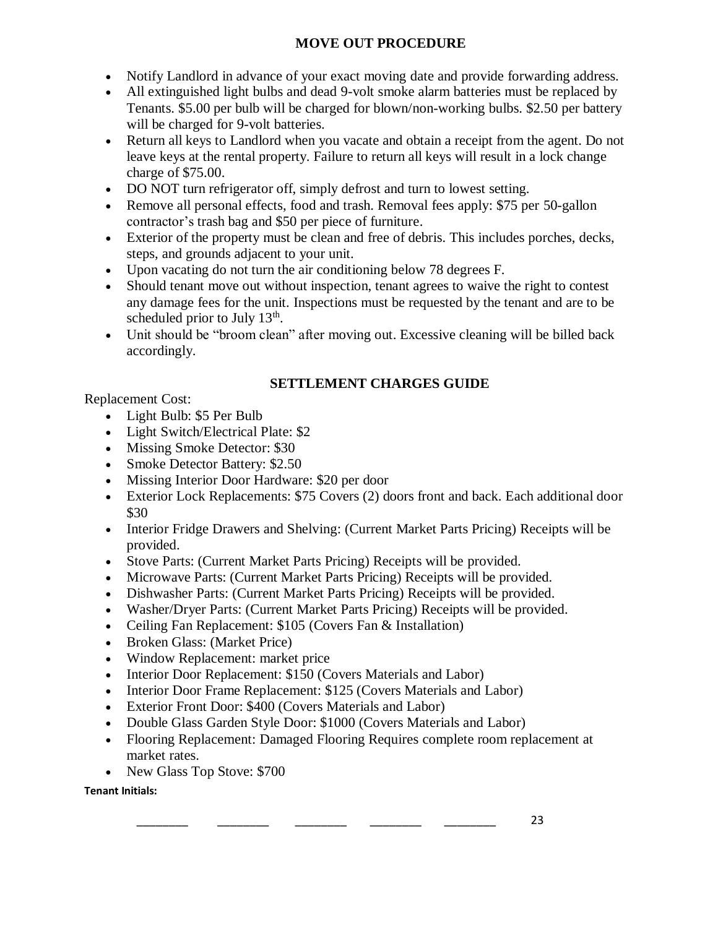# **MOVE OUT PROCEDURE**

- Notify Landlord in advance of your exact moving date and provide forwarding address.
- All extinguished light bulbs and dead 9-volt smoke alarm batteries must be replaced by Tenants. \$5.00 per bulb will be charged for blown/non-working bulbs. \$2.50 per battery will be charged for 9-volt batteries.
- Return all keys to Landlord when you vacate and obtain a receipt from the agent. Do not leave keys at the rental property. Failure to return all keys will result in a lock change charge of \$75.00.
- DO NOT turn refrigerator off, simply defrost and turn to lowest setting.
- Remove all personal effects, food and trash. Removal fees apply: \$75 per 50-gallon contractor's trash bag and \$50 per piece of furniture.
- Exterior of the property must be clean and free of debris. This includes porches, decks, steps, and grounds adjacent to your unit.
- Upon vacating do not turn the air conditioning below 78 degrees F.
- Should tenant move out without inspection, tenant agrees to waive the right to contest any damage fees for the unit. Inspections must be requested by the tenant and are to be scheduled prior to July  $13<sup>th</sup>$ .
- Unit should be "broom clean" after moving out. Excessive cleaning will be billed back accordingly.

# **SETTLEMENT CHARGES GUIDE**

Replacement Cost:

- Light Bulb: \$5 Per Bulb
- Light Switch/Electrical Plate: \$2
- Missing Smoke Detector: \$30
- Smoke Detector Battery: \$2.50
- Missing Interior Door Hardware: \$20 per door
- Exterior Lock Replacements: \$75 Covers (2) doors front and back. Each additional door \$30
- Interior Fridge Drawers and Shelving: (Current Market Parts Pricing) Receipts will be provided.
- Stove Parts: (Current Market Parts Pricing) Receipts will be provided.
- Microwave Parts: (Current Market Parts Pricing) Receipts will be provided.
- Dishwasher Parts: (Current Market Parts Pricing) Receipts will be provided.
- Washer/Dryer Parts: (Current Market Parts Pricing) Receipts will be provided.
- Ceiling Fan Replacement: \$105 (Covers Fan & Installation)
- Broken Glass: (Market Price)
- Window Replacement: market price
- Interior Door Replacement: \$150 (Covers Materials and Labor)
- Interior Door Frame Replacement: \$125 (Covers Materials and Labor)
- Exterior Front Door: \$400 (Covers Materials and Labor)
- Double Glass Garden Style Door: \$1000 (Covers Materials and Labor)
- Flooring Replacement: Damaged Flooring Requires complete room replacement at market rates.
- New Glass Top Stove: \$700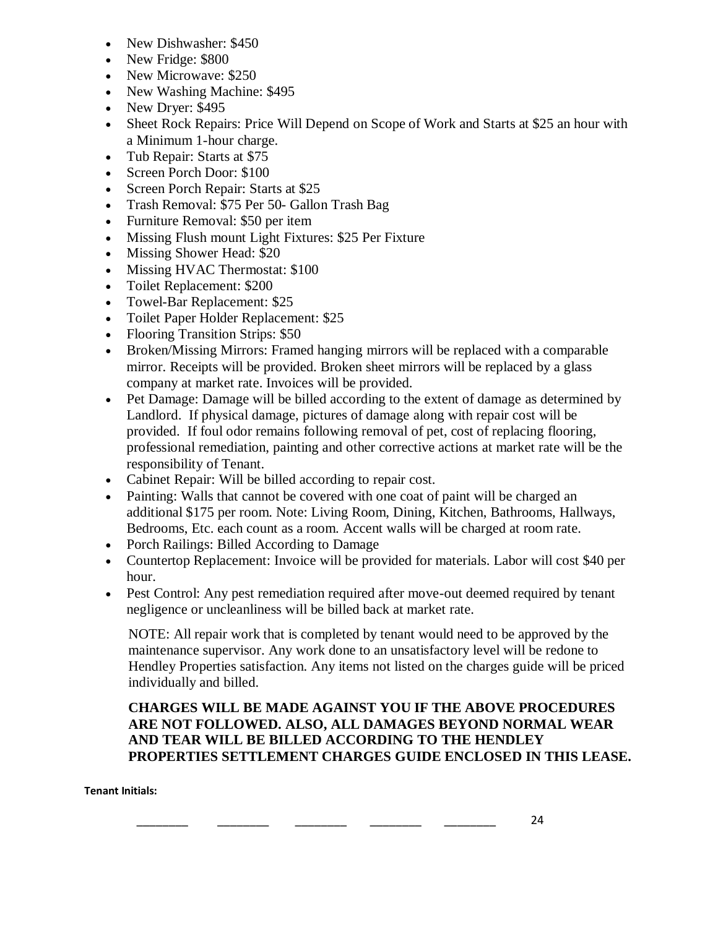- New Dishwasher: \$450
- New Fridge: \$800
- New Microwave: \$250
- New Washing Machine: \$495
- New Dryer: \$495
- Sheet Rock Repairs: Price Will Depend on Scope of Work and Starts at \$25 an hour with a Minimum 1-hour charge.
- Tub Repair: Starts at \$75
- Screen Porch Door: \$100
- Screen Porch Repair: Starts at \$25
- Trash Removal: \$75 Per 50- Gallon Trash Bag
- Furniture Removal: \$50 per item
- Missing Flush mount Light Fixtures: \$25 Per Fixture
- Missing Shower Head: \$20
- Missing HVAC Thermostat: \$100
- Toilet Replacement: \$200
- Towel-Bar Replacement: \$25
- Toilet Paper Holder Replacement: \$25
- Flooring Transition Strips: \$50
- Broken/Missing Mirrors: Framed hanging mirrors will be replaced with a comparable mirror. Receipts will be provided. Broken sheet mirrors will be replaced by a glass company at market rate. Invoices will be provided.
- Pet Damage: Damage will be billed according to the extent of damage as determined by Landlord. If physical damage, pictures of damage along with repair cost will be provided. If foul odor remains following removal of pet, cost of replacing flooring, professional remediation, painting and other corrective actions at market rate will be the responsibility of Tenant.
- Cabinet Repair: Will be billed according to repair cost.
- Painting: Walls that cannot be covered with one coat of paint will be charged an additional \$175 per room. Note: Living Room, Dining, Kitchen, Bathrooms, Hallways, Bedrooms, Etc. each count as a room. Accent walls will be charged at room rate.
- Porch Railings: Billed According to Damage
- Countertop Replacement: Invoice will be provided for materials. Labor will cost \$40 per hour.
- Pest Control: Any pest remediation required after move-out deemed required by tenant negligence or uncleanliness will be billed back at market rate.

NOTE: All repair work that is completed by tenant would need to be approved by the maintenance supervisor. Any work done to an unsatisfactory level will be redone to Hendley Properties satisfaction. Any items not listed on the charges guide will be priced individually and billed.

# **CHARGES WILL BE MADE AGAINST YOU IF THE ABOVE PROCEDURES ARE NOT FOLLOWED. ALSO, ALL DAMAGES BEYOND NORMAL WEAR AND TEAR WILL BE BILLED ACCORDING TO THE HENDLEY PROPERTIES SETTLEMENT CHARGES GUIDE ENCLOSED IN THIS LEASE.**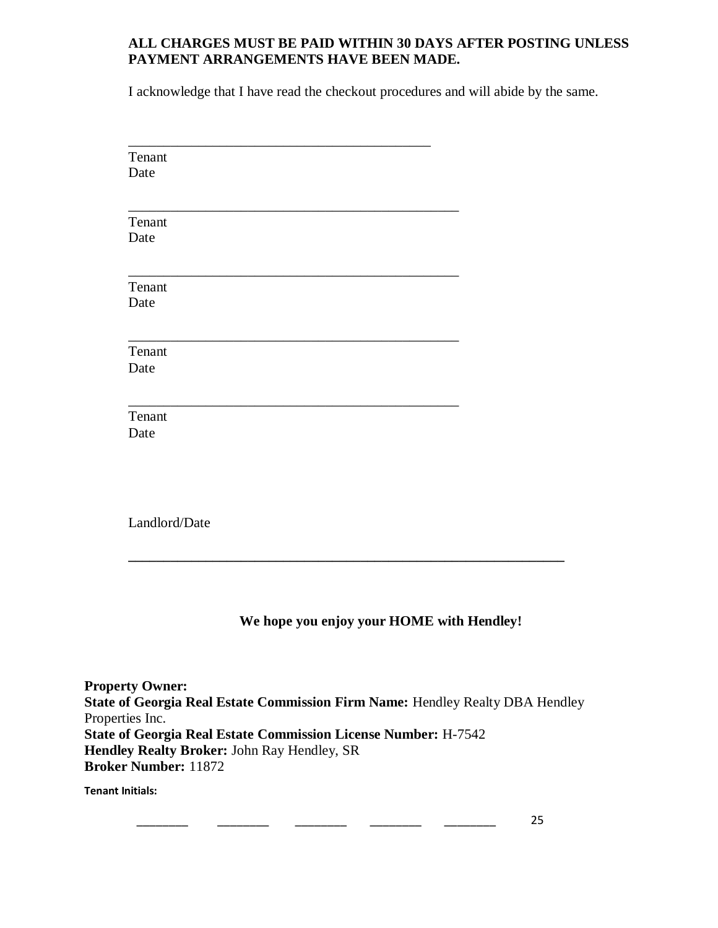### **ALL CHARGES MUST BE PAID WITHIN 30 DAYS AFTER POSTING UNLESS PAYMENT ARRANGEMENTS HAVE BEEN MADE.**

I acknowledge that I have read the checkout procedures and will abide by the same.

| Tenant        |  |
|---------------|--|
| Date          |  |
|               |  |
|               |  |
| Tenant        |  |
| Date          |  |
|               |  |
|               |  |
| Tenant        |  |
| Date          |  |
|               |  |
|               |  |
| Tenant        |  |
| Date          |  |
|               |  |
|               |  |
| Tenant        |  |
| Date          |  |
|               |  |
|               |  |
|               |  |
|               |  |
| Landlord/Date |  |
|               |  |

# **We hope you enjoy your HOME with Hendley!**

**Property Owner: State of Georgia Real Estate Commission Firm Name:** Hendley Realty DBA Hendley Properties Inc. **State of Georgia Real Estate Commission License Number:** H-7542 **Hendley Realty Broker:** John Ray Hendley, SR **Broker Number:** 11872

**\_\_\_\_\_\_\_\_\_\_\_\_\_\_\_\_\_\_\_\_\_\_\_\_\_\_\_\_\_\_\_\_\_\_\_\_\_\_\_\_\_\_\_\_\_\_\_\_\_\_\_\_\_\_\_\_\_\_\_\_\_\_**